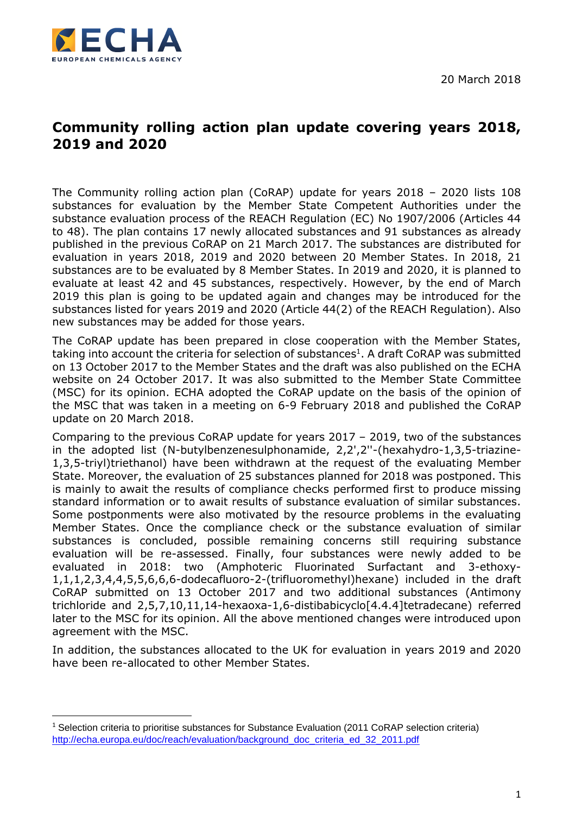



 $\overline{\phantom{a}}$ 

# **Community rolling action plan update covering years 2018, 2019 and 2020**

The Community rolling action plan (CoRAP) update for years 2018 – 2020 lists 108 substances for evaluation by the Member State Competent Authorities under the substance evaluation process of the REACH Regulation (EC) No 1907/2006 (Articles 44 to 48). The plan contains 17 newly allocated substances and 91 substances as already published in the previous CoRAP on 21 March 2017. The substances are distributed for evaluation in years 2018, 2019 and 2020 between 20 Member States. In 2018, 21 substances are to be evaluated by 8 Member States. In 2019 and 2020, it is planned to evaluate at least 42 and 45 substances, respectively. However, by the end of March 2019 this plan is going to be updated again and changes may be introduced for the substances listed for years 2019 and 2020 (Article 44(2) of the REACH Regulation). Also new substances may be added for those years.

The CoRAP update has been prepared in close cooperation with the Member States, taking into account the criteria for selection of substances<sup>1</sup>. A draft CoRAP was submitted on 13 October 2017 to the Member States and the draft was also published on the ECHA website on 24 October 2017. It was also submitted to the Member State Committee (MSC) for its opinion. ECHA adopted the CoRAP update on the basis of the opinion of the MSC that was taken in a meeting on 6-9 February 2018 and published the CoRAP update on 20 March 2018.

Comparing to the previous CoRAP update for years 2017 – 2019, two of the substances in the adopted list (N-butylbenzenesulphonamide, 2,2',2''-(hexahydro-1,3,5-triazine-1,3,5-triyl)triethanol) have been withdrawn at the request of the evaluating Member State. Moreover, the evaluation of 25 substances planned for 2018 was postponed. This is mainly to await the results of compliance checks performed first to produce missing standard information or to await results of substance evaluation of similar substances. Some postponments were also motivated by the resource problems in the evaluating Member States. Once the compliance check or the substance evaluation of similar substances is concluded, possible remaining concerns still requiring substance evaluation will be re-assessed. Finally, four substances were newly added to be evaluated in 2018: two (Amphoteric Fluorinated Surfactant and 3-ethoxy-1,1,1,2,3,4,4,5,5,6,6,6-dodecafluoro-2-(trifluoromethyl)hexane) included in the draft CoRAP submitted on 13 October 2017 and two additional substances (Antimony trichloride and 2,5,7,10,11,14-hexaoxa-1,6-distibabicyclo[4.4.4]tetradecane) referred later to the MSC for its opinion. All the above mentioned changes were introduced upon agreement with the MSC.

In addition, the substances allocated to the UK for evaluation in years 2019 and 2020 have been re-allocated to other Member States.

<sup>&</sup>lt;sup>1</sup> Selection criteria to prioritise substances for Substance Evaluation (2011 CoRAP selection criteria) [http://echa.europa.eu/doc/reach/evaluation/background\\_doc\\_criteria\\_ed\\_32\\_2011.pdf](http://echa.europa.eu/doc/reach/evaluation/background_doc_criteria_ed_32_2011.pdf)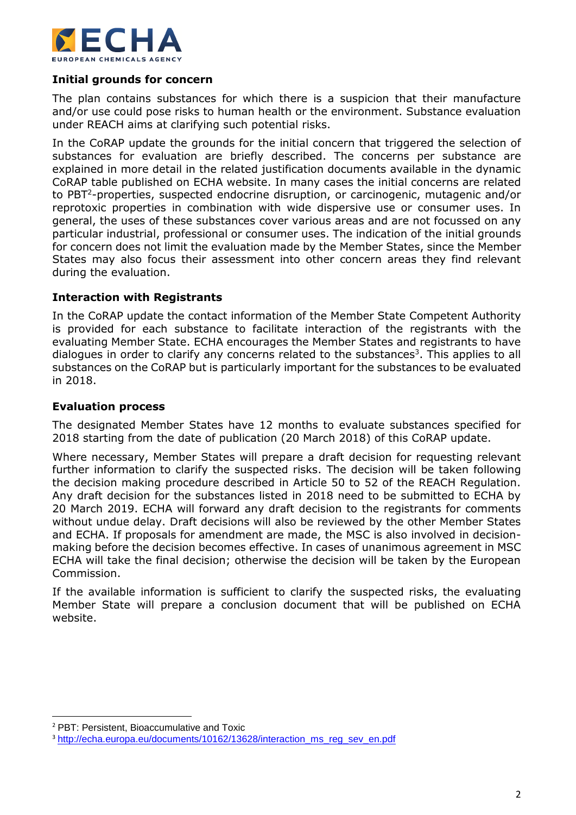

### **Initial grounds for concern**

The plan contains substances for which there is a suspicion that their manufacture and/or use could pose risks to human health or the environment. Substance evaluation under REACH aims at clarifying such potential risks.

In the CoRAP update the grounds for the initial concern that triggered the selection of substances for evaluation are briefly described. The concerns per substance are explained in more detail in the related justification documents available in the dynamic CoRAP table published on ECHA website. In many cases the initial concerns are related to PBT<sup>2</sup>-properties, suspected endocrine disruption, or carcinogenic, mutagenic and/or reprotoxic properties in combination with wide dispersive use or consumer uses. In general, the uses of these substances cover various areas and are not focussed on any particular industrial, professional or consumer uses. The indication of the initial grounds for concern does not limit the evaluation made by the Member States, since the Member States may also focus their assessment into other concern areas they find relevant during the evaluation.

#### **Interaction with Registrants**

In the CoRAP update the contact information of the Member State Competent Authority is provided for each substance to facilitate interaction of the registrants with the evaluating Member State. ECHA encourages the Member States and registrants to have dialogues in order to clarify any concerns related to the substances<sup>3</sup>. This applies to all substances on the CoRAP but is particularly important for the substances to be evaluated in 2018.

#### **Evaluation process**

The designated Member States have 12 months to evaluate substances specified for 2018 starting from the date of publication (20 March 2018) of this CoRAP update.

Where necessary, Member States will prepare a draft decision for requesting relevant further information to clarify the suspected risks. The decision will be taken following the decision making procedure described in Article 50 to 52 of the REACH Regulation. Any draft decision for the substances listed in 2018 need to be submitted to ECHA by 20 March 2019. ECHA will forward any draft decision to the registrants for comments without undue delay. Draft decisions will also be reviewed by the other Member States and ECHA. If proposals for amendment are made, the MSC is also involved in decisionmaking before the decision becomes effective. In cases of unanimous agreement in MSC ECHA will take the final decision; otherwise the decision will be taken by the European Commission.

If the available information is sufficient to clarify the suspected risks, the evaluating Member State will prepare a conclusion document that will be published on ECHA website.

 $\overline{\phantom{a}}$ 

<sup>2</sup> PBT: Persistent, Bioaccumulative and Toxic

<sup>&</sup>lt;sup>3</sup> [http://echa.europa.eu/documents/10162/13628/interaction\\_ms\\_reg\\_sev\\_en.pdf](http://echa.europa.eu/documents/10162/13628/interaction_ms_reg_sev_en.pdf)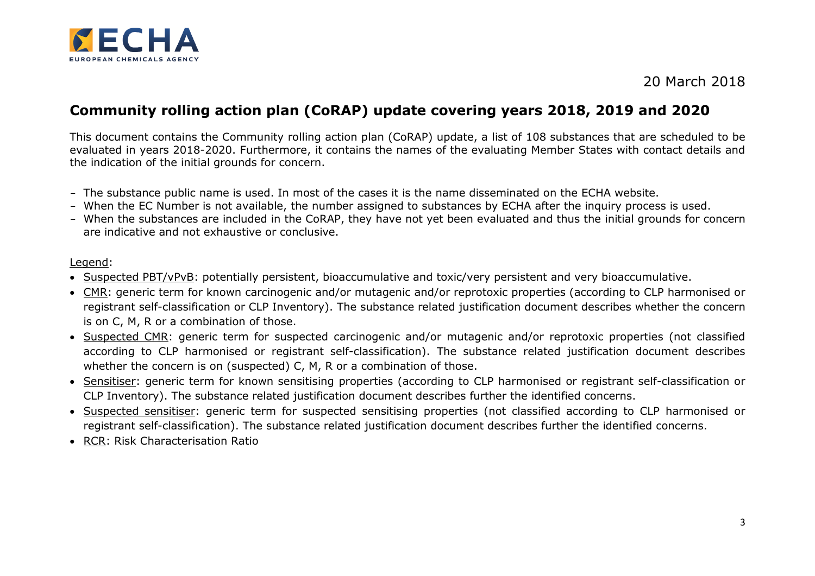

## 20 March 2018

## **Community rolling action plan (CoRAP) update covering years 2018, 2019 and 2020**

This document contains the Community rolling action plan (CoRAP) update, a list of 108 substances that are scheduled to be evaluated in years 2018-2020. Furthermore, it contains the names of the evaluating Member States with contact details and the indication of the initial grounds for concern.

- The substance public name is used. In most of the cases it is the name disseminated on the ECHA website.
- When the EC Number is not available, the number assigned to substances by ECHA after the inquiry process is used.
- When the substances are included in the CoRAP, they have not yet been evaluated and thus the initial grounds for concern are indicative and not exhaustive or conclusive.

#### Legend:

- Suspected PBT/vPvB: potentially persistent, bioaccumulative and toxic/very persistent and very bioaccumulative.
- CMR: generic term for known carcinogenic and/or mutagenic and/or reprotoxic properties (according to CLP harmonised or registrant self-classification or CLP Inventory). The substance related justification document describes whether the concern is on C, M, R or a combination of those.
- Suspected CMR: generic term for suspected carcinogenic and/or mutagenic and/or reprotoxic properties (not classified according to CLP harmonised or registrant self-classification). The substance related justification document describes whether the concern is on (suspected) C, M, R or a combination of those.
- Sensitiser: generic term for known sensitising properties (according to CLP harmonised or registrant self-classification or CLP Inventory). The substance related justification document describes further the identified concerns.
- Suspected sensitiser: generic term for suspected sensitising properties (not classified according to CLP harmonised or registrant self-classification). The substance related justification document describes further the identified concerns.
- RCR: Risk Characterisation Ratio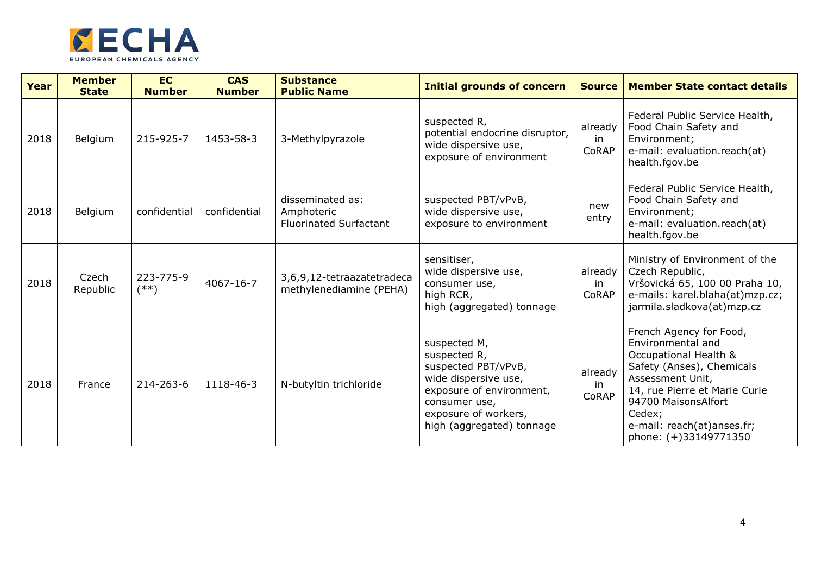

| Year | <b>Member</b><br><b>State</b> | <b>EC</b><br><b>Number</b> | <b>CAS</b><br><b>Number</b> | <b>Substance</b><br><b>Public Name</b>                          | <b>Initial grounds of concern</b>                                                                                                                                             | <b>Source</b>          | <b>Member State contact details</b>                                                                                                                                                                                                             |
|------|-------------------------------|----------------------------|-----------------------------|-----------------------------------------------------------------|-------------------------------------------------------------------------------------------------------------------------------------------------------------------------------|------------------------|-------------------------------------------------------------------------------------------------------------------------------------------------------------------------------------------------------------------------------------------------|
| 2018 | Belgium                       | 215-925-7                  | 1453-58-3                   | 3-Methylpyrazole                                                | suspected R,<br>potential endocrine disruptor,<br>wide dispersive use,<br>exposure of environment                                                                             | already<br>in<br>CoRAP | Federal Public Service Health,<br>Food Chain Safety and<br>Environment;<br>e-mail: evaluation.reach(at)<br>health.fgov.be                                                                                                                       |
| 2018 | Belgium                       | confidential               | confidential                | disseminated as:<br>Amphoteric<br><b>Fluorinated Surfactant</b> | suspected PBT/vPvB,<br>wide dispersive use,<br>exposure to environment                                                                                                        | new<br>entry           | Federal Public Service Health,<br>Food Chain Safety and<br>Environment;<br>e-mail: evaluation.reach(at)<br>health.fgov.be                                                                                                                       |
| 2018 | Czech<br>Republic             | 223-775-9<br>$(**)$        | 4067-16-7                   | 3,6,9,12-tetraazatetradeca<br>methylenediamine (PEHA)           | sensitiser,<br>wide dispersive use,<br>consumer use,<br>high RCR,<br>high (aggregated) tonnage                                                                                | already<br>in<br>CoRAP | Ministry of Environment of the<br>Czech Republic,<br>Vršovická 65, 100 00 Praha 10,<br>e-mails: karel.blaha(at)mzp.cz;<br>jarmila.sladkova(at)mzp.cz                                                                                            |
| 2018 | France                        | 214-263-6                  | 1118-46-3                   | N-butyltin trichloride                                          | suspected M,<br>suspected R,<br>suspected PBT/vPvB,<br>wide dispersive use,<br>exposure of environment,<br>consumer use,<br>exposure of workers,<br>high (aggregated) tonnage | already<br>in<br>CoRAP | French Agency for Food,<br>Environmental and<br>Occupational Health &<br>Safety (Anses), Chemicals<br>Assessment Unit,<br>14, rue Pierre et Marie Curie<br>94700 MaisonsAlfort<br>Cedex;<br>e-mail: reach(at)anses.fr;<br>phone: (+)33149771350 |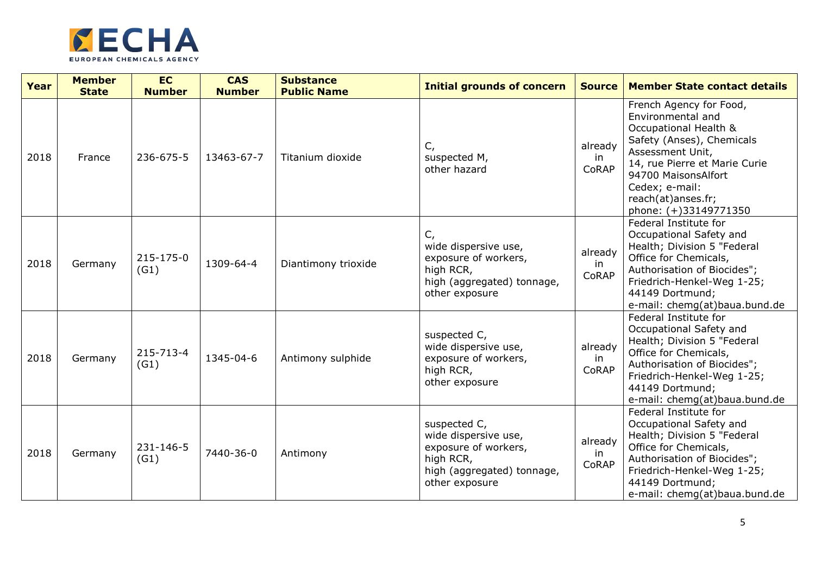

| Year | <b>Member</b><br><b>State</b> | <b>EC</b><br><b>Number</b> | <b>CAS</b><br><b>Number</b> | <b>Substance</b><br><b>Public Name</b> | <b>Initial grounds of concern</b>                                                                                         | <b>Source</b>           | <b>Member State contact details</b>                                                                                                                                                                                                             |
|------|-------------------------------|----------------------------|-----------------------------|----------------------------------------|---------------------------------------------------------------------------------------------------------------------------|-------------------------|-------------------------------------------------------------------------------------------------------------------------------------------------------------------------------------------------------------------------------------------------|
| 2018 | France                        | 236-675-5                  | 13463-67-7                  | Titanium dioxide                       | $C_{I}$<br>suspected M,<br>other hazard                                                                                   | already<br>in<br>CoRAP  | French Agency for Food,<br>Environmental and<br>Occupational Health &<br>Safety (Anses), Chemicals<br>Assessment Unit,<br>14, rue Pierre et Marie Curie<br>94700 MaisonsAlfort<br>Cedex; e-mail:<br>reach(at)anses.fr;<br>phone: (+)33149771350 |
| 2018 | Germany                       | 215-175-0<br>(G1)          | 1309-64-4                   | Diantimony trioxide                    | $C_{I}$<br>wide dispersive use,<br>exposure of workers,<br>high RCR,<br>high (aggregated) tonnage,<br>other exposure      | already<br>in.<br>CoRAP | Federal Institute for<br>Occupational Safety and<br>Health; Division 5 "Federal<br>Office for Chemicals,<br>Authorisation of Biocides";<br>Friedrich-Henkel-Weg 1-25;<br>44149 Dortmund;<br>e-mail: chemg(at)baua.bund.de                       |
| 2018 | Germany                       | 215-713-4<br>(G1)          | 1345-04-6                   | Antimony sulphide                      | suspected C,<br>wide dispersive use,<br>exposure of workers,<br>high RCR,<br>other exposure                               | already<br>in<br>CoRAP  | Federal Institute for<br>Occupational Safety and<br>Health; Division 5 "Federal<br>Office for Chemicals,<br>Authorisation of Biocides";<br>Friedrich-Henkel-Weg 1-25;<br>44149 Dortmund;<br>e-mail: chemg(at)baua.bund.de                       |
| 2018 | Germany                       | 231-146-5<br>(G1)          | 7440-36-0                   | Antimony                               | suspected C,<br>wide dispersive use,<br>exposure of workers,<br>high RCR,<br>high (aggregated) tonnage,<br>other exposure | already<br>in<br>CoRAP  | Federal Institute for<br>Occupational Safety and<br>Health; Division 5 "Federal<br>Office for Chemicals,<br>Authorisation of Biocides";<br>Friedrich-Henkel-Weg 1-25;<br>44149 Dortmund;<br>e-mail: chemg(at)baua.bund.de                       |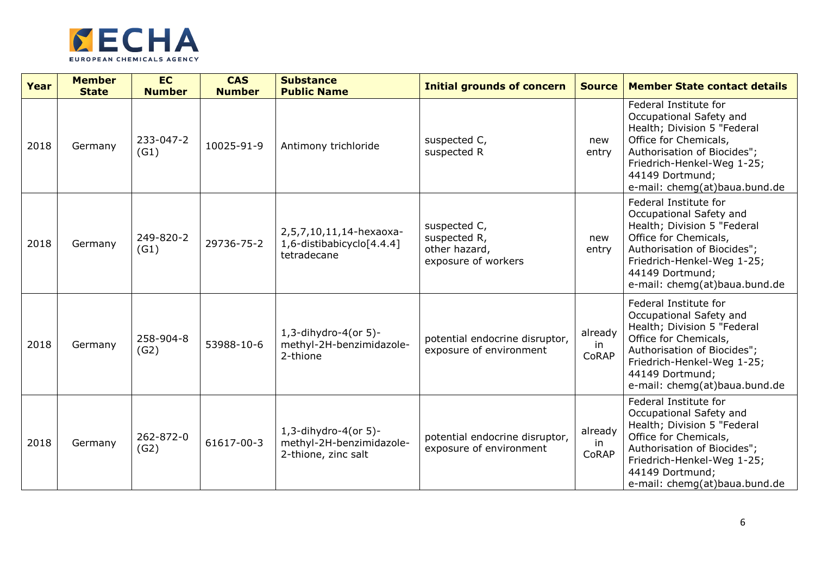

| Year | <b>Member</b><br><b>State</b> | <b>EC</b><br><b>Number</b> | <b>CAS</b><br><b>Number</b> | <b>Substance</b><br><b>Public Name</b>                                      | <b>Initial grounds of concern</b>                                    | <b>Source</b>          | <b>Member State contact details</b>                                                                                                                                                                                       |
|------|-------------------------------|----------------------------|-----------------------------|-----------------------------------------------------------------------------|----------------------------------------------------------------------|------------------------|---------------------------------------------------------------------------------------------------------------------------------------------------------------------------------------------------------------------------|
| 2018 | Germany                       | 233-047-2<br>(G1)          | 10025-91-9                  | Antimony trichloride                                                        | suspected C,<br>suspected R                                          | new<br>entry           | Federal Institute for<br>Occupational Safety and<br>Health; Division 5 "Federal<br>Office for Chemicals,<br>Authorisation of Biocides";<br>Friedrich-Henkel-Weg 1-25;<br>44149 Dortmund;<br>e-mail: chemg(at)baua.bund.de |
| 2018 | Germany                       | 249-820-2<br>(G1)          | 29736-75-2                  | 2,5,7,10,11,14-hexaoxa-<br>1,6-distibabicyclo[4.4.4]<br>tetradecane         | suspected C,<br>suspected R,<br>other hazard,<br>exposure of workers | new<br>entry           | Federal Institute for<br>Occupational Safety and<br>Health; Division 5 "Federal<br>Office for Chemicals,<br>Authorisation of Biocides";<br>Friedrich-Henkel-Weg 1-25;<br>44149 Dortmund;<br>e-mail: chemg(at)baua.bund.de |
| 2018 | Germany                       | 258-904-8<br>(G2)          | 53988-10-6                  | $1, 3$ -dihydro-4(or 5)-<br>methyl-2H-benzimidazole-<br>2-thione            | potential endocrine disruptor,<br>exposure of environment            | already<br>in<br>CoRAP | Federal Institute for<br>Occupational Safety and<br>Health; Division 5 "Federal<br>Office for Chemicals,<br>Authorisation of Biocides";<br>Friedrich-Henkel-Weg 1-25;<br>44149 Dortmund;<br>e-mail: chemg(at)baua.bund.de |
| 2018 | Germany                       | 262-872-0<br>(G2)          | 61617-00-3                  | $1, 3$ -dihydro-4(or 5)-<br>methyl-2H-benzimidazole-<br>2-thione, zinc salt | potential endocrine disruptor,<br>exposure of environment            | already<br>in<br>CoRAP | Federal Institute for<br>Occupational Safety and<br>Health; Division 5 "Federal<br>Office for Chemicals,<br>Authorisation of Biocides";<br>Friedrich-Henkel-Weg 1-25;<br>44149 Dortmund;<br>e-mail: chemg(at)baua.bund.de |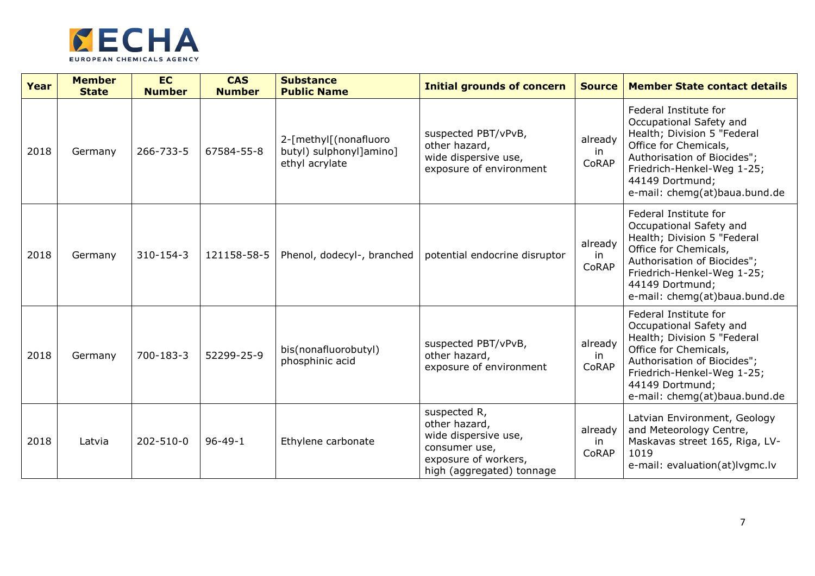

| Year | <b>Member</b><br><b>State</b> | <b>EC</b><br><b>Number</b> | <b>CAS</b><br><b>Number</b> | <b>Substance</b><br><b>Public Name</b>                             | <b>Initial grounds of concern</b>                                                                                           | <b>Source</b>           | <b>Member State contact details</b>                                                                                                                                                                                       |
|------|-------------------------------|----------------------------|-----------------------------|--------------------------------------------------------------------|-----------------------------------------------------------------------------------------------------------------------------|-------------------------|---------------------------------------------------------------------------------------------------------------------------------------------------------------------------------------------------------------------------|
| 2018 | Germany                       | 266-733-5                  | 67584-55-8                  | 2-[methyl[(nonafluoro<br>butyl) sulphonyl]amino]<br>ethyl acrylate | suspected PBT/vPvB,<br>other hazard,<br>wide dispersive use,<br>exposure of environment                                     | already<br>in<br>CoRAP  | Federal Institute for<br>Occupational Safety and<br>Health; Division 5 "Federal<br>Office for Chemicals,<br>Authorisation of Biocides";<br>Friedrich-Henkel-Weg 1-25;<br>44149 Dortmund;<br>e-mail: chemg(at)baua.bund.de |
| 2018 | Germany                       | 310-154-3                  | 121158-58-5                 | Phenol, dodecyl-, branched                                         | potential endocrine disruptor                                                                                               | already<br>in<br>CoRAP  | Federal Institute for<br>Occupational Safety and<br>Health; Division 5 "Federal<br>Office for Chemicals,<br>Authorisation of Biocides";<br>Friedrich-Henkel-Weg 1-25;<br>44149 Dortmund;<br>e-mail: chemg(at)baua.bund.de |
| 2018 | Germany                       | 700-183-3                  | 52299-25-9                  | bis(nonafluorobutyl)<br>phosphinic acid                            | suspected PBT/vPvB,<br>other hazard,<br>exposure of environment                                                             | already<br>-in<br>CoRAP | Federal Institute for<br>Occupational Safety and<br>Health; Division 5 "Federal<br>Office for Chemicals,<br>Authorisation of Biocides";<br>Friedrich-Henkel-Weg 1-25;<br>44149 Dortmund;<br>e-mail: chemg(at)baua.bund.de |
| 2018 | Latvia                        | 202-510-0                  | $96 - 49 - 1$               | Ethylene carbonate                                                 | suspected R,<br>other hazard,<br>wide dispersive use,<br>consumer use,<br>exposure of workers,<br>high (aggregated) tonnage | already<br>in<br>CoRAP  | Latvian Environment, Geology<br>and Meteorology Centre,<br>Maskavas street 165, Riga, LV-<br>1019<br>e-mail: evaluation(at)lvgmc.lv                                                                                       |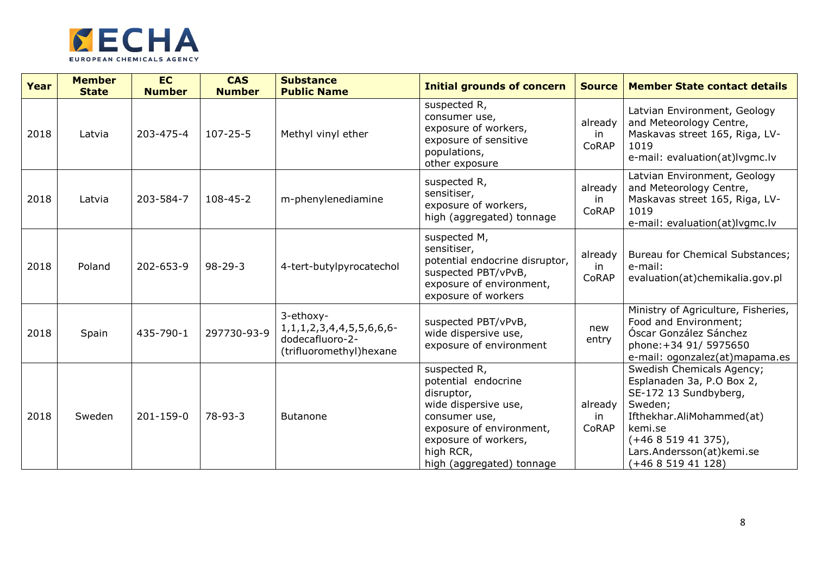

| Year | <b>Member</b><br><b>State</b> | <b>EC</b><br><b>Number</b> | <b>CAS</b><br><b>Number</b> | <b>Substance</b><br><b>Public Name</b>                                                          | <b>Initial grounds of concern</b>                                                                                                                                                        | <b>Source</b>          | <b>Member State contact details</b>                                                                                                                                                                       |
|------|-------------------------------|----------------------------|-----------------------------|-------------------------------------------------------------------------------------------------|------------------------------------------------------------------------------------------------------------------------------------------------------------------------------------------|------------------------|-----------------------------------------------------------------------------------------------------------------------------------------------------------------------------------------------------------|
| 2018 | Latvia                        | 203-475-4                  | $107 - 25 - 5$              | Methyl vinyl ether                                                                              | suspected R,<br>consumer use,<br>exposure of workers,<br>exposure of sensitive<br>populations,<br>other exposure                                                                         | already<br>in<br>CoRAP | Latvian Environment, Geology<br>and Meteorology Centre,<br>Maskavas street 165, Riga, LV-<br>1019<br>e-mail: evaluation(at)lvgmc.lv                                                                       |
| 2018 | Latvia                        | 203-584-7                  | $108 - 45 - 2$              | m-phenylenediamine                                                                              | suspected R,<br>sensitiser,<br>exposure of workers,<br>high (aggregated) tonnage                                                                                                         | already<br>in<br>CoRAP | Latvian Environment, Geology<br>and Meteorology Centre,<br>Maskavas street 165, Riga, LV-<br>1019<br>e-mail: evaluation(at)lvgmc.lv                                                                       |
| 2018 | Poland                        | 202-653-9                  | $98 - 29 - 3$               | 4-tert-butylpyrocatechol                                                                        | suspected M,<br>sensitiser,<br>potential endocrine disruptor,<br>suspected PBT/vPvB,<br>exposure of environment,<br>exposure of workers                                                  | already<br>in<br>CoRAP | Bureau for Chemical Substances;<br>e-mail:<br>evaluation(at)chemikalia.gov.pl                                                                                                                             |
| 2018 | Spain                         | 435-790-1                  | 297730-93-9                 | 3-ethoxy-<br>1, 1, 1, 2, 3, 4, 4, 5, 5, 6, 6, 6-<br>dodecafluoro-2-<br>(trifluoromethyl) hexane | suspected PBT/vPvB,<br>wide dispersive use,<br>exposure of environment                                                                                                                   | new<br>entry           | Ministry of Agriculture, Fisheries,<br>Food and Environment;<br>Óscar González Sánchez<br>phone: +34 91/ 5975650<br>e-mail: ogonzalez(at)mapama.es                                                        |
| 2018 | Sweden                        | 201-159-0                  | $78-93-3$                   | Butanone                                                                                        | suspected R,<br>potential endocrine<br>disruptor,<br>wide dispersive use,<br>consumer use,<br>exposure of environment,<br>exposure of workers,<br>high RCR,<br>high (aggregated) tonnage | already<br>in<br>CoRAP | Swedish Chemicals Agency;<br>Esplanaden 3a, P.O Box 2,<br>SE-172 13 Sundbyberg,<br>Sweden;<br>Ifthekhar.AliMohammed(at)<br>kemi.se<br>$(+46851941375)$ ,<br>Lars.Andersson(at)kemi.se<br>$(+46851941128)$ |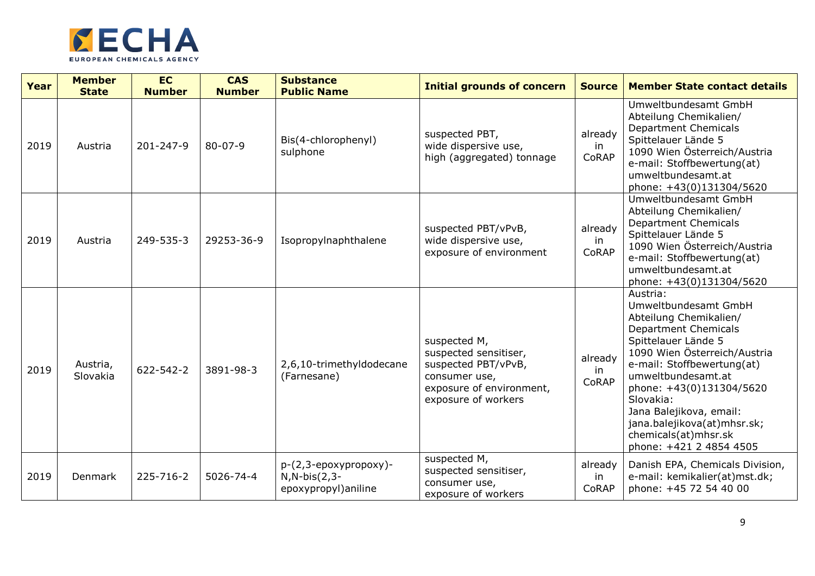

| Year | <b>Member</b><br><b>State</b> | <b>EC</b><br><b>Number</b> | <b>CAS</b><br><b>Number</b> | <b>Substance</b><br><b>Public Name</b>                              | <b>Initial grounds of concern</b>                                                                                                | <b>Source</b>          | <b>Member State contact details</b>                                                                                                                                                                                                                                                                                                                        |
|------|-------------------------------|----------------------------|-----------------------------|---------------------------------------------------------------------|----------------------------------------------------------------------------------------------------------------------------------|------------------------|------------------------------------------------------------------------------------------------------------------------------------------------------------------------------------------------------------------------------------------------------------------------------------------------------------------------------------------------------------|
| 2019 | Austria                       | 201-247-9                  | $80 - 07 - 9$               | Bis(4-chlorophenyl)<br>sulphone                                     | suspected PBT,<br>wide dispersive use,<br>high (aggregated) tonnage                                                              | already<br>in<br>CoRAP | Umweltbundesamt GmbH<br>Abteilung Chemikalien/<br><b>Department Chemicals</b><br>Spittelauer Lände 5<br>1090 Wien Österreich/Austria<br>e-mail: Stoffbewertung(at)<br>umweltbundesamt.at<br>phone: +43(0)131304/5620                                                                                                                                       |
| 2019 | Austria                       | 249-535-3                  | 29253-36-9                  | Isopropylnaphthalene                                                | suspected PBT/vPvB,<br>wide dispersive use,<br>exposure of environment                                                           | already<br>in<br>CoRAP | Umweltbundesamt GmbH<br>Abteilung Chemikalien/<br><b>Department Chemicals</b><br>Spittelauer Lände 5<br>1090 Wien Österreich/Austria<br>e-mail: Stoffbewertung(at)<br>umweltbundesamt.at<br>phone: +43(0)131304/5620                                                                                                                                       |
| 2019 | Austria,<br>Slovakia          | 622-542-2                  | 3891-98-3                   | 2,6,10-trimethyldodecane<br>(Farnesane)                             | suspected M,<br>suspected sensitiser,<br>suspected PBT/vPvB,<br>consumer use,<br>exposure of environment,<br>exposure of workers | already<br>in<br>CoRAP | Austria:<br>Umweltbundesamt GmbH<br>Abteilung Chemikalien/<br><b>Department Chemicals</b><br>Spittelauer Lände 5<br>1090 Wien Österreich/Austria<br>e-mail: Stoffbewertung(at)<br>umweltbundesamt.at<br>phone: +43(0)131304/5620<br>Slovakia:<br>Jana Balejikova, email:<br>jana.balejikova(at)mhsr.sk;<br>chemicals(at)mhsr.sk<br>phone: +421 2 4854 4505 |
| 2019 | Denmark                       | 225-716-2                  | 5026-74-4                   | $p-(2,3-epoxypropoxy)$ -<br>$N, N-bis(2,3-$<br>epoxypropyl) aniline | suspected M,<br>suspected sensitiser,<br>consumer use,<br>exposure of workers                                                    | already<br>in<br>CoRAP | Danish EPA, Chemicals Division,<br>e-mail: kemikalier(at)mst.dk;<br>phone: +45 72 54 40 00                                                                                                                                                                                                                                                                 |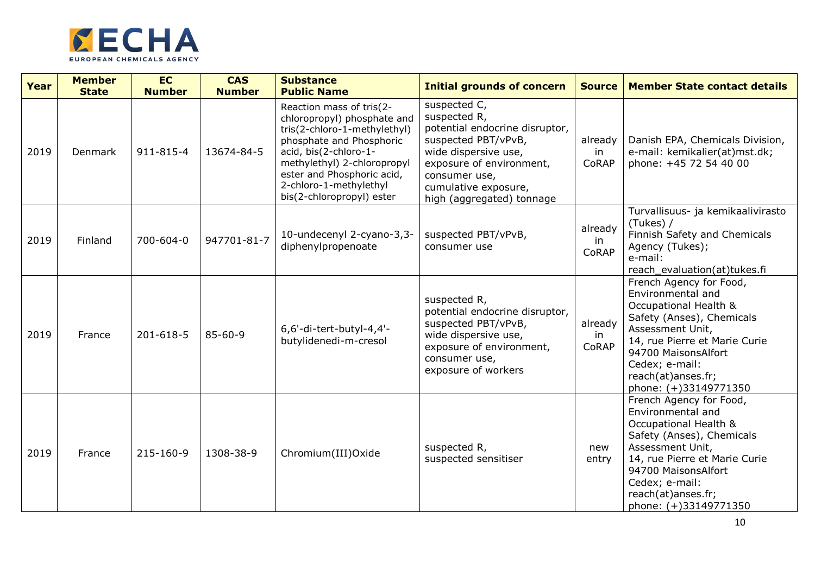

| Year | <b>Member</b><br><b>State</b> | <b>EC</b><br><b>Number</b> | <b>CAS</b><br><b>Number</b> | <b>Substance</b><br><b>Public Name</b>                                                                                                                                                                                                                           | <b>Initial grounds of concern</b>                                                                                                                                                                               | <b>Source</b>           | <b>Member State contact details</b>                                                                                                                                                                                                             |
|------|-------------------------------|----------------------------|-----------------------------|------------------------------------------------------------------------------------------------------------------------------------------------------------------------------------------------------------------------------------------------------------------|-----------------------------------------------------------------------------------------------------------------------------------------------------------------------------------------------------------------|-------------------------|-------------------------------------------------------------------------------------------------------------------------------------------------------------------------------------------------------------------------------------------------|
| 2019 | <b>Denmark</b>                | 911-815-4                  | 13674-84-5                  | Reaction mass of tris(2-<br>chloropropyl) phosphate and<br>tris(2-chloro-1-methylethyl)<br>phosphate and Phosphoric<br>acid, bis(2-chloro-1-<br>methylethyl) 2-chloropropyl<br>ester and Phosphoric acid,<br>2-chloro-1-methylethyl<br>bis(2-chloropropyl) ester | suspected C,<br>suspected R,<br>potential endocrine disruptor,<br>suspected PBT/vPvB,<br>wide dispersive use,<br>exposure of environment,<br>consumer use,<br>cumulative exposure,<br>high (aggregated) tonnage | already<br>in.<br>CoRAP | Danish EPA, Chemicals Division,<br>e-mail: kemikalier(at)mst.dk;<br>phone: +45 72 54 40 00                                                                                                                                                      |
| 2019 | Finland                       | 700-604-0                  | 947701-81-7                 | 10-undecenyl 2-cyano-3,3-<br>diphenylpropenoate                                                                                                                                                                                                                  | suspected PBT/vPvB,<br>consumer use                                                                                                                                                                             | already<br>in<br>CoRAP  | Turvallisuus- ja kemikaalivirasto<br>(Tukes) /<br>Finnish Safety and Chemicals<br>Agency (Tukes);<br>e-mail:<br>reach_evaluation(at)tukes.fi                                                                                                    |
| 2019 | France                        | 201-618-5                  | $85 - 60 - 9$               | 6,6'-di-tert-butyl-4,4'-<br>butylidenedi-m-cresol                                                                                                                                                                                                                | suspected R,<br>potential endocrine disruptor,<br>suspected PBT/vPvB,<br>wide dispersive use,<br>exposure of environment,<br>consumer use,<br>exposure of workers                                               | already<br>in<br>CoRAP  | French Agency for Food,<br>Environmental and<br>Occupational Health &<br>Safety (Anses), Chemicals<br>Assessment Unit,<br>14, rue Pierre et Marie Curie<br>94700 MaisonsAlfort<br>Cedex; e-mail:<br>reach(at)anses.fr;<br>phone: (+)33149771350 |
| 2019 | France                        | 215-160-9                  | 1308-38-9                   | Chromium(III)Oxide                                                                                                                                                                                                                                               | suspected R,<br>suspected sensitiser                                                                                                                                                                            | new<br>entry            | French Agency for Food,<br>Environmental and<br>Occupational Health &<br>Safety (Anses), Chemicals<br>Assessment Unit,<br>14, rue Pierre et Marie Curie<br>94700 MaisonsAlfort<br>Cedex; e-mail:<br>reach(at)anses.fr;<br>phone: (+)33149771350 |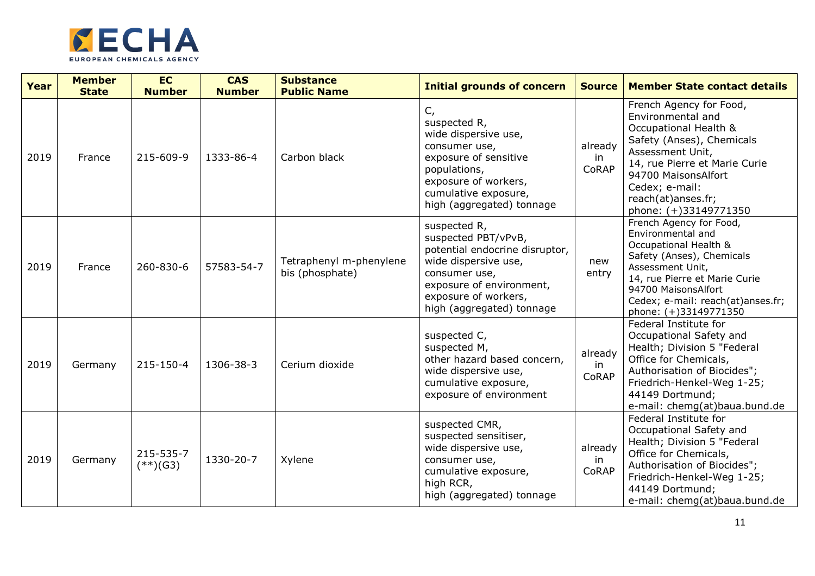

| Year | <b>Member</b><br><b>State</b> | <b>EC</b><br><b>Number</b> | <b>CAS</b><br><b>Number</b> | <b>Substance</b><br><b>Public Name</b>     | <b>Initial grounds of concern</b>                                                                                                                                                               | <b>Source</b>           | <b>Member State contact details</b>                                                                                                                                                                                                             |
|------|-------------------------------|----------------------------|-----------------------------|--------------------------------------------|-------------------------------------------------------------------------------------------------------------------------------------------------------------------------------------------------|-------------------------|-------------------------------------------------------------------------------------------------------------------------------------------------------------------------------------------------------------------------------------------------|
| 2019 | France                        | 215-609-9                  | 1333-86-4                   | Carbon black                               | $C_{I}$<br>suspected R,<br>wide dispersive use,<br>consumer use,<br>exposure of sensitive<br>populations,<br>exposure of workers,<br>cumulative exposure,<br>high (aggregated) tonnage          | already<br>in<br>CoRAP  | French Agency for Food,<br>Environmental and<br>Occupational Health &<br>Safety (Anses), Chemicals<br>Assessment Unit,<br>14, rue Pierre et Marie Curie<br>94700 MaisonsAlfort<br>Cedex; e-mail:<br>reach(at)anses.fr;<br>phone: (+)33149771350 |
| 2019 | France                        | 260-830-6                  | 57583-54-7                  | Tetraphenyl m-phenylene<br>bis (phosphate) | suspected R,<br>suspected PBT/vPvB,<br>potential endocrine disruptor,<br>wide dispersive use,<br>consumer use,<br>exposure of environment,<br>exposure of workers,<br>high (aggregated) tonnage | new<br>entry            | French Agency for Food,<br>Environmental and<br>Occupational Health &<br>Safety (Anses), Chemicals<br>Assessment Unit,<br>14, rue Pierre et Marie Curie<br>94700 MaisonsAlfort<br>Cedex; e-mail: reach(at)anses.fr;<br>phone: (+)33149771350    |
| 2019 | Germany                       | 215-150-4                  | 1306-38-3                   | Cerium dioxide                             | suspected C,<br>suspected M,<br>other hazard based concern,<br>wide dispersive use,<br>cumulative exposure,<br>exposure of environment                                                          | already<br>in.<br>CoRAP | Federal Institute for<br>Occupational Safety and<br>Health; Division 5 "Federal<br>Office for Chemicals,<br>Authorisation of Biocides";<br>Friedrich-Henkel-Weg 1-25;<br>44149 Dortmund;<br>e-mail: chemg(at)baua.bund.de                       |
| 2019 | Germany                       | 215-535-7<br>$(**)$ (G3)   | 1330-20-7                   | Xylene                                     | suspected CMR,<br>suspected sensitiser,<br>wide dispersive use,<br>consumer use,<br>cumulative exposure,<br>high RCR,<br>high (aggregated) tonnage                                              | already<br>in<br>CoRAP  | Federal Institute for<br>Occupational Safety and<br>Health; Division 5 "Federal<br>Office for Chemicals,<br>Authorisation of Biocides";<br>Friedrich-Henkel-Weg 1-25;<br>44149 Dortmund;<br>e-mail: chemg(at)baua.bund.de                       |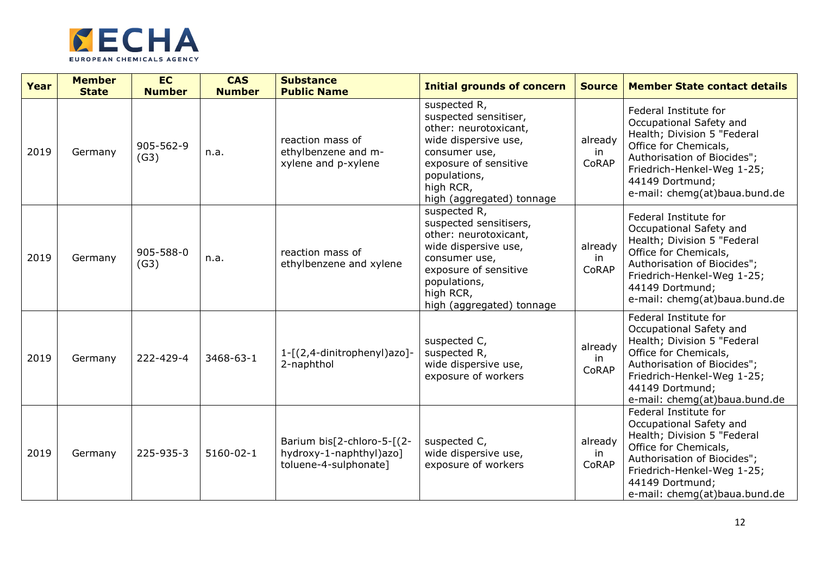

| Year | <b>Member</b><br><b>State</b> | <b>EC</b><br><b>Number</b> | <b>CAS</b><br><b>Number</b> | <b>Substance</b><br><b>Public Name</b>                                         | <b>Initial grounds of concern</b>                                                                                                                                                           | <b>Source</b>          | <b>Member State contact details</b>                                                                                                                                                                                       |
|------|-------------------------------|----------------------------|-----------------------------|--------------------------------------------------------------------------------|---------------------------------------------------------------------------------------------------------------------------------------------------------------------------------------------|------------------------|---------------------------------------------------------------------------------------------------------------------------------------------------------------------------------------------------------------------------|
| 2019 | Germany                       | 905-562-9<br>(G3)          | n.a.                        | reaction mass of<br>ethylbenzene and m-<br>xylene and p-xylene                 | suspected R,<br>suspected sensitiser,<br>other: neurotoxicant,<br>wide dispersive use,<br>consumer use,<br>exposure of sensitive<br>populations,<br>high RCR,<br>high (aggregated) tonnage  | already<br>in<br>CoRAP | Federal Institute for<br>Occupational Safety and<br>Health; Division 5 "Federal<br>Office for Chemicals,<br>Authorisation of Biocides";<br>Friedrich-Henkel-Weg 1-25;<br>44149 Dortmund;<br>e-mail: chemg(at)baua.bund.de |
| 2019 | Germany                       | 905-588-0<br>(G3)          | n.a.                        | reaction mass of<br>ethylbenzene and xylene                                    | suspected R,<br>suspected sensitisers,<br>other: neurotoxicant,<br>wide dispersive use,<br>consumer use,<br>exposure of sensitive<br>populations,<br>high RCR,<br>high (aggregated) tonnage | already<br>in<br>CoRAP | Federal Institute for<br>Occupational Safety and<br>Health; Division 5 "Federal<br>Office for Chemicals,<br>Authorisation of Biocides";<br>Friedrich-Henkel-Weg 1-25;<br>44149 Dortmund;<br>e-mail: chemg(at)baua.bund.de |
| 2019 | Germany                       | 222-429-4                  | 3468-63-1                   | 1-[(2,4-dinitrophenyl)azo]-<br>2-naphthol                                      | suspected C,<br>suspected R,<br>wide dispersive use,<br>exposure of workers                                                                                                                 | already<br>in<br>CoRAP | Federal Institute for<br>Occupational Safety and<br>Health; Division 5 "Federal<br>Office for Chemicals,<br>Authorisation of Biocides";<br>Friedrich-Henkel-Weg 1-25;<br>44149 Dortmund;<br>e-mail: chemg(at)baua.bund.de |
| 2019 | Germany                       | 225-935-3                  | $5160 - 02 - 1$             | Barium bis[2-chloro-5-[(2-<br>hydroxy-1-naphthyl)azo]<br>toluene-4-sulphonate] | suspected C,<br>wide dispersive use,<br>exposure of workers                                                                                                                                 | already<br>in<br>CoRAP | Federal Institute for<br>Occupational Safety and<br>Health; Division 5 "Federal<br>Office for Chemicals,<br>Authorisation of Biocides";<br>Friedrich-Henkel-Weg 1-25;<br>44149 Dortmund;<br>e-mail: chemg(at)baua.bund.de |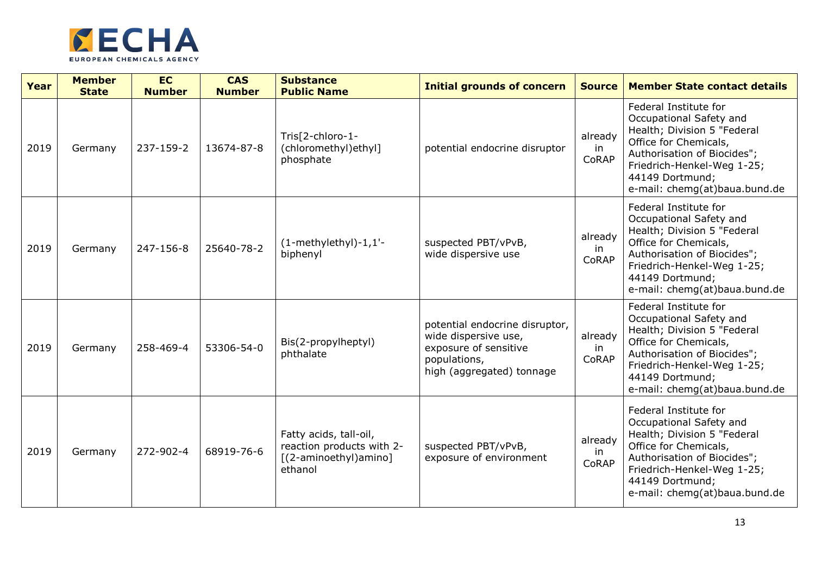

| Year | <b>Member</b><br><b>State</b> | <b>EC</b><br><b>Number</b> | <b>CAS</b><br><b>Number</b> | <b>Substance</b><br><b>Public Name</b>                                                  | <b>Initial grounds of concern</b>                                                                                            | <b>Source</b>           | <b>Member State contact details</b>                                                                                                                                                                                       |
|------|-------------------------------|----------------------------|-----------------------------|-----------------------------------------------------------------------------------------|------------------------------------------------------------------------------------------------------------------------------|-------------------------|---------------------------------------------------------------------------------------------------------------------------------------------------------------------------------------------------------------------------|
| 2019 | Germany                       | 237-159-2                  | 13674-87-8                  | Tris[2-chloro-1-<br>(chloromethyl)ethyl]<br>phosphate                                   | potential endocrine disruptor                                                                                                | already<br>in<br>CoRAP  | Federal Institute for<br>Occupational Safety and<br>Health; Division 5 "Federal<br>Office for Chemicals,<br>Authorisation of Biocides";<br>Friedrich-Henkel-Weg 1-25;<br>44149 Dortmund;<br>e-mail: chemg(at)baua.bund.de |
| 2019 | Germany                       | 247-156-8                  | 25640-78-2                  | $(1-methylethyl)-1,1'-$<br>biphenyl                                                     | suspected PBT/vPvB,<br>wide dispersive use                                                                                   | already<br>in.<br>CoRAP | Federal Institute for<br>Occupational Safety and<br>Health; Division 5 "Federal<br>Office for Chemicals,<br>Authorisation of Biocides";<br>Friedrich-Henkel-Weg 1-25;<br>44149 Dortmund;<br>e-mail: chemg(at)baua.bund.de |
| 2019 | Germany                       | 258-469-4                  | 53306-54-0                  | Bis(2-propylheptyl)<br>phthalate                                                        | potential endocrine disruptor,<br>wide dispersive use,<br>exposure of sensitive<br>populations,<br>high (aggregated) tonnage | already<br>in<br>CoRAP  | Federal Institute for<br>Occupational Safety and<br>Health; Division 5 "Federal<br>Office for Chemicals,<br>Authorisation of Biocides";<br>Friedrich-Henkel-Weg 1-25;<br>44149 Dortmund;<br>e-mail: chemg(at)baua.bund.de |
| 2019 | Germany                       | 272-902-4                  | 68919-76-6                  | Fatty acids, tall-oil,<br>reaction products with 2-<br>[(2-aminoethyl)amino]<br>ethanol | suspected PBT/vPvB,<br>exposure of environment                                                                               | already<br>in.<br>CoRAP | Federal Institute for<br>Occupational Safety and<br>Health; Division 5 "Federal<br>Office for Chemicals,<br>Authorisation of Biocides";<br>Friedrich-Henkel-Weg 1-25;<br>44149 Dortmund;<br>e-mail: chemg(at)baua.bund.de |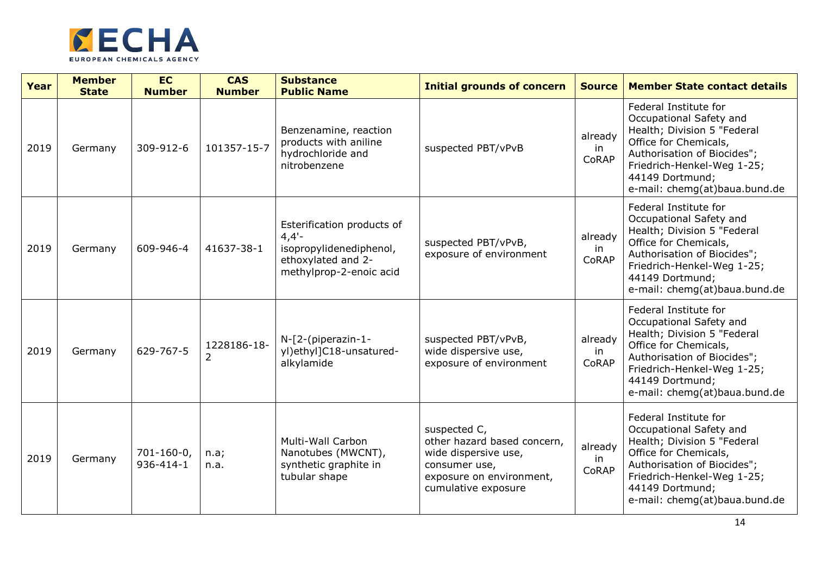

| Year | <b>Member</b><br><b>State</b> | <b>EC</b><br><b>Number</b>     | <b>CAS</b><br><b>Number</b> | <b>Substance</b><br><b>Public Name</b>                                                                             | <b>Initial grounds of concern</b>                                                                                                       | <b>Source</b>           | <b>Member State contact details</b>                                                                                                                                                                                       |
|------|-------------------------------|--------------------------------|-----------------------------|--------------------------------------------------------------------------------------------------------------------|-----------------------------------------------------------------------------------------------------------------------------------------|-------------------------|---------------------------------------------------------------------------------------------------------------------------------------------------------------------------------------------------------------------------|
| 2019 | Germany                       | 309-912-6                      | 101357-15-7                 | Benzenamine, reaction<br>products with aniline<br>hydrochloride and<br>nitrobenzene                                | suspected PBT/vPvB                                                                                                                      | already<br>in<br>CoRAP  | Federal Institute for<br>Occupational Safety and<br>Health; Division 5 "Federal<br>Office for Chemicals,<br>Authorisation of Biocides";<br>Friedrich-Henkel-Weg 1-25;<br>44149 Dortmund;<br>e-mail: chemg(at)baua.bund.de |
| 2019 | Germany                       | 609-946-4                      | 41637-38-1                  | Esterification products of<br>$4,4'$ -<br>isopropylidenediphenol,<br>ethoxylated and 2-<br>methylprop-2-enoic acid | suspected PBT/vPvB,<br>exposure of environment                                                                                          | already<br>in<br>CoRAP  | Federal Institute for<br>Occupational Safety and<br>Health; Division 5 "Federal<br>Office for Chemicals,<br>Authorisation of Biocides";<br>Friedrich-Henkel-Weg 1-25;<br>44149 Dortmund;<br>e-mail: chemg(at)baua.bund.de |
| 2019 | Germany                       | 629-767-5                      | 1228186-18-<br>2            | $N-[2-(piperazin-1-$<br>yl)ethyl]C18-unsatured-<br>alkylamide                                                      | suspected PBT/vPvB,<br>wide dispersive use,<br>exposure of environment                                                                  | already<br>in.<br>CoRAP | Federal Institute for<br>Occupational Safety and<br>Health; Division 5 "Federal<br>Office for Chemicals,<br>Authorisation of Biocides";<br>Friedrich-Henkel-Weg 1-25;<br>44149 Dortmund;<br>e-mail: chemg(at)baua.bund.de |
| 2019 | Germany                       | $701 - 160 - 0$ ,<br>936-414-1 | n.a;<br>n.a.                | <b>Multi-Wall Carbon</b><br>Nanotubes (MWCNT),<br>synthetic graphite in<br>tubular shape                           | suspected C,<br>other hazard based concern,<br>wide dispersive use,<br>consumer use,<br>exposure on environment,<br>cumulative exposure | already<br>in<br>CoRAP  | Federal Institute for<br>Occupational Safety and<br>Health; Division 5 "Federal<br>Office for Chemicals,<br>Authorisation of Biocides";<br>Friedrich-Henkel-Weg 1-25;<br>44149 Dortmund;<br>e-mail: chemg(at)baua.bund.de |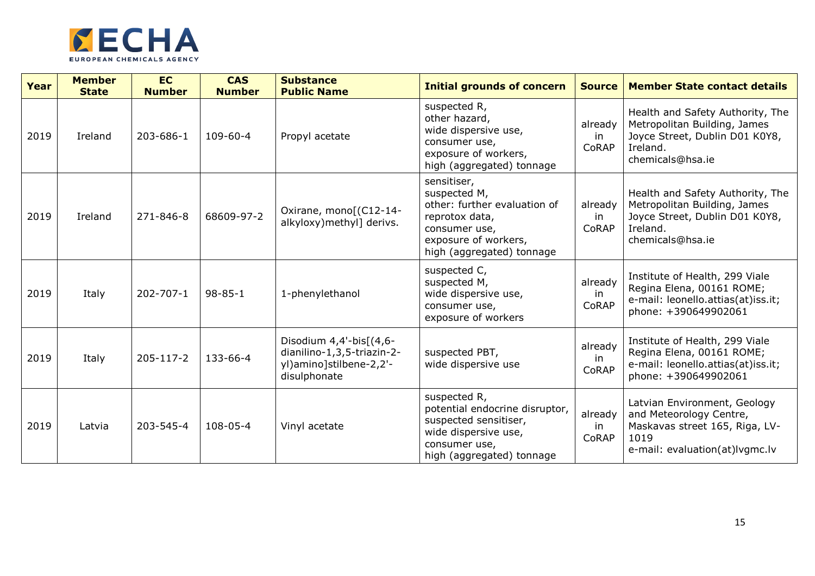

| Year | <b>Member</b><br><b>State</b> | <b>EC</b><br><b>Number</b> | <b>CAS</b><br><b>Number</b> | <b>Substance</b><br><b>Public Name</b>                                                               | <b>Initial grounds of concern</b>                                                                                                                   | <b>Source</b>           | <b>Member State contact details</b>                                                                                                 |
|------|-------------------------------|----------------------------|-----------------------------|------------------------------------------------------------------------------------------------------|-----------------------------------------------------------------------------------------------------------------------------------------------------|-------------------------|-------------------------------------------------------------------------------------------------------------------------------------|
| 2019 | Ireland                       | 203-686-1                  | $109 - 60 - 4$              | Propyl acetate                                                                                       | suspected R,<br>other hazard,<br>wide dispersive use,<br>consumer use,<br>exposure of workers,<br>high (aggregated) tonnage                         | already<br>-in<br>CoRAP | Health and Safety Authority, The<br>Metropolitan Building, James<br>Joyce Street, Dublin D01 K0Y8,<br>Ireland.<br>chemicals@hsa.ie  |
| 2019 | Ireland                       | 271-846-8                  | 68609-97-2                  | Oxirane, mono[(C12-14-<br>alkyloxy) methyl] derivs.                                                  | sensitiser,<br>suspected M,<br>other: further evaluation of<br>reprotox data,<br>consumer use,<br>exposure of workers,<br>high (aggregated) tonnage | already<br>in<br>CoRAP  | Health and Safety Authority, The<br>Metropolitan Building, James<br>Joyce Street, Dublin D01 K0Y8,<br>Ireland.<br>chemicals@hsa.ie  |
| 2019 | Italy                         | 202-707-1                  | $98 - 85 - 1$               | 1-phenylethanol                                                                                      | suspected C,<br>suspected M,<br>wide dispersive use,<br>consumer use,<br>exposure of workers                                                        | already<br>in<br>CoRAP  | Institute of Health, 299 Viale<br>Regina Elena, 00161 ROME;<br>e-mail: leonello.attias(at)iss.it;<br>phone: +390649902061           |
| 2019 | Italy                         | 205-117-2                  | 133-66-4                    | Disodium $4,4'-bis$ $(4,6-$<br>dianilino-1,3,5-triazin-2-<br>yl)amino]stilbene-2,2'-<br>disulphonate | suspected PBT,<br>wide dispersive use                                                                                                               | already<br>in<br>CoRAP  | Institute of Health, 299 Viale<br>Regina Elena, 00161 ROME;<br>e-mail: leonello.attias(at)iss.it;<br>phone: +390649902061           |
| 2019 | Latvia                        | 203-545-4                  | 108-05-4                    | Vinyl acetate                                                                                        | suspected R,<br>potential endocrine disruptor,<br>suspected sensitiser,<br>wide dispersive use,<br>consumer use,<br>high (aggregated) tonnage       | already<br>in<br>CoRAP  | Latvian Environment, Geology<br>and Meteorology Centre,<br>Maskavas street 165, Riga, LV-<br>1019<br>e-mail: evaluation(at)lvgmc.lv |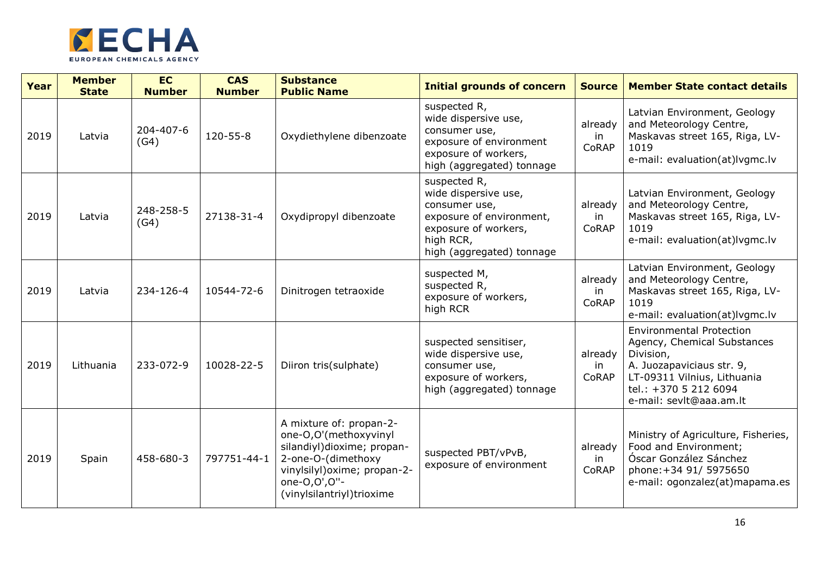

| Year | <b>Member</b><br><b>State</b> | <b>EC</b><br><b>Number</b> | <b>CAS</b><br><b>Number</b> | <b>Substance</b><br><b>Public Name</b>                                                                                                                                            | <b>Initial grounds of concern</b>                                                                                                                   | <b>Source</b>           | <b>Member State contact details</b>                                                                                                                                                         |
|------|-------------------------------|----------------------------|-----------------------------|-----------------------------------------------------------------------------------------------------------------------------------------------------------------------------------|-----------------------------------------------------------------------------------------------------------------------------------------------------|-------------------------|---------------------------------------------------------------------------------------------------------------------------------------------------------------------------------------------|
| 2019 | Latvia                        | 204-407-6<br>(G4)          | 120-55-8                    | Oxydiethylene dibenzoate                                                                                                                                                          | suspected R,<br>wide dispersive use,<br>consumer use,<br>exposure of environment<br>exposure of workers,<br>high (aggregated) tonnage               | already<br>in<br>CoRAP  | Latvian Environment, Geology<br>and Meteorology Centre,<br>Maskavas street 165, Riga, LV-<br>1019<br>e-mail: evaluation(at)lvgmc.lv                                                         |
| 2019 | Latvia                        | 248-258-5<br>(G4)          | 27138-31-4                  | Oxydipropyl dibenzoate                                                                                                                                                            | suspected R,<br>wide dispersive use,<br>consumer use,<br>exposure of environment,<br>exposure of workers,<br>high RCR,<br>high (aggregated) tonnage | already<br>in<br>CoRAP  | Latvian Environment, Geology<br>and Meteorology Centre,<br>Maskavas street 165, Riga, LV-<br>1019<br>e-mail: evaluation(at)lvgmc.lv                                                         |
| 2019 | Latvia                        | 234-126-4                  | 10544-72-6                  | Dinitrogen tetraoxide                                                                                                                                                             | suspected M,<br>suspected R,<br>exposure of workers,<br>high RCR                                                                                    | already<br>in<br>CoRAP  | Latvian Environment, Geology<br>and Meteorology Centre,<br>Maskavas street 165, Riga, LV-<br>1019<br>e-mail: evaluation(at)lvgmc.lv                                                         |
| 2019 | Lithuania                     | 233-072-9                  | 10028-22-5                  | Diiron tris(sulphate)                                                                                                                                                             | suspected sensitiser,<br>wide dispersive use,<br>consumer use,<br>exposure of workers,<br>high (aggregated) tonnage                                 | already<br>in.<br>CoRAP | <b>Environmental Protection</b><br>Agency, Chemical Substances<br>Division,<br>A. Juozapaviciaus str. 9,<br>LT-09311 Vilnius, Lithuania<br>tel.: +370 5 212 6094<br>e-mail: sevlt@aaa.am.lt |
| 2019 | Spain                         | 458-680-3                  | 797751-44-1                 | A mixture of: propan-2-<br>one-O,O'(methoxyvinyl<br>silandiyl)dioxime; propan-<br>2-one-O-(dimethoxy<br>vinylsilyl) oxime; propan-2-<br>one-0,0',0"-<br>(vinylsilantriyl)trioxime | suspected PBT/vPvB,<br>exposure of environment                                                                                                      | already<br>in.<br>CoRAP | Ministry of Agriculture, Fisheries,<br>Food and Environment;<br>Óscar González Sánchez<br>phone: +34 91/ 5975650<br>e-mail: ogonzalez(at)mapama.es                                          |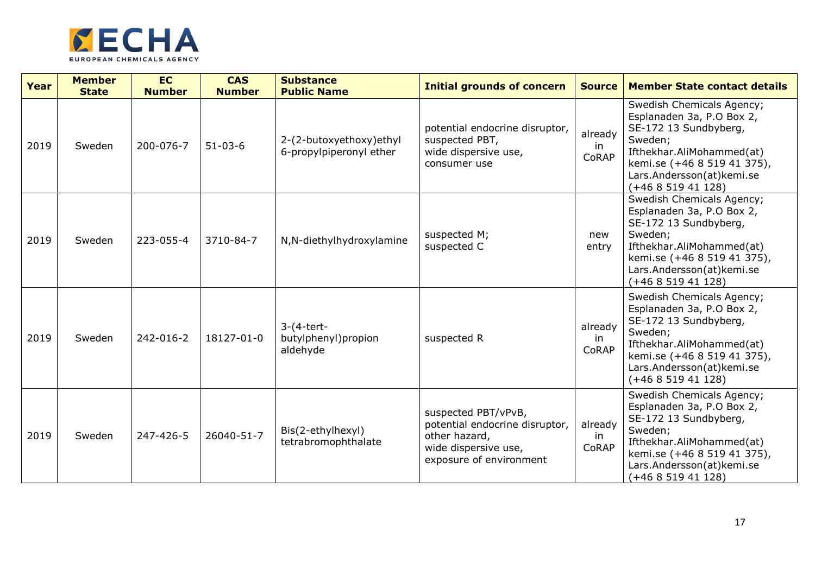

| Year | <b>Member</b><br><b>State</b> | <b>EC</b><br><b>Number</b> | <b>CAS</b><br><b>Number</b> | <b>Substance</b><br><b>Public Name</b>             | <b>Initial grounds of concern</b>                                                                                         | <b>Source</b>           | <b>Member State contact details</b>                                                                                                                                                                     |
|------|-------------------------------|----------------------------|-----------------------------|----------------------------------------------------|---------------------------------------------------------------------------------------------------------------------------|-------------------------|---------------------------------------------------------------------------------------------------------------------------------------------------------------------------------------------------------|
| 2019 | Sweden                        | 200-076-7                  | $51 - 03 - 6$               | 2-(2-butoxyethoxy)ethyl<br>6-propylpiperonyl ether | potential endocrine disruptor,<br>suspected PBT,<br>wide dispersive use,<br>consumer use                                  | already<br>in<br>CoRAP  | Swedish Chemicals Agency;<br>Esplanaden 3a, P.O Box 2,<br>SE-172 13 Sundbyberg,<br>Sweden;<br>Ifthekhar.AliMohammed(at)<br>kemi.se (+46 8 519 41 375),<br>Lars.Andersson(at)kemi.se<br>$(+46851941128)$ |
| 2019 | Sweden                        | 223-055-4                  | 3710-84-7                   | N,N-diethylhydroxylamine                           | suspected M;<br>suspected C                                                                                               | new<br>entry            | Swedish Chemicals Agency;<br>Esplanaden 3a, P.O Box 2,<br>SE-172 13 Sundbyberg,<br>Sweden;<br>Ifthekhar.AliMohammed(at)<br>kemi.se (+46 8 519 41 375),<br>Lars.Andersson(at)kemi.se<br>$(+46851941128)$ |
| 2019 | Sweden                        | 242-016-2                  | 18127-01-0                  | $3-(4-tert-$<br>butylphenyl)propion<br>aldehyde    | suspected R                                                                                                               | already<br>in.<br>CoRAP | Swedish Chemicals Agency;<br>Esplanaden 3a, P.O Box 2,<br>SE-172 13 Sundbyberg,<br>Sweden;<br>Ifthekhar.AliMohammed(at)<br>kemi.se (+46 8 519 41 375),<br>Lars.Andersson(at)kemi.se<br>$(+46851941128)$ |
| 2019 | Sweden                        | 247-426-5                  | 26040-51-7                  | Bis(2-ethylhexyl)<br>tetrabromophthalate           | suspected PBT/vPvB,<br>potential endocrine disruptor,<br>other hazard,<br>wide dispersive use,<br>exposure of environment | already<br>in.<br>CoRAP | Swedish Chemicals Agency;<br>Esplanaden 3a, P.O Box 2,<br>SE-172 13 Sundbyberg,<br>Sweden;<br>Ifthekhar.AliMohammed(at)<br>kemi.se (+46 8 519 41 375),<br>Lars.Andersson(at)kemi.se<br>$(+46851941128)$ |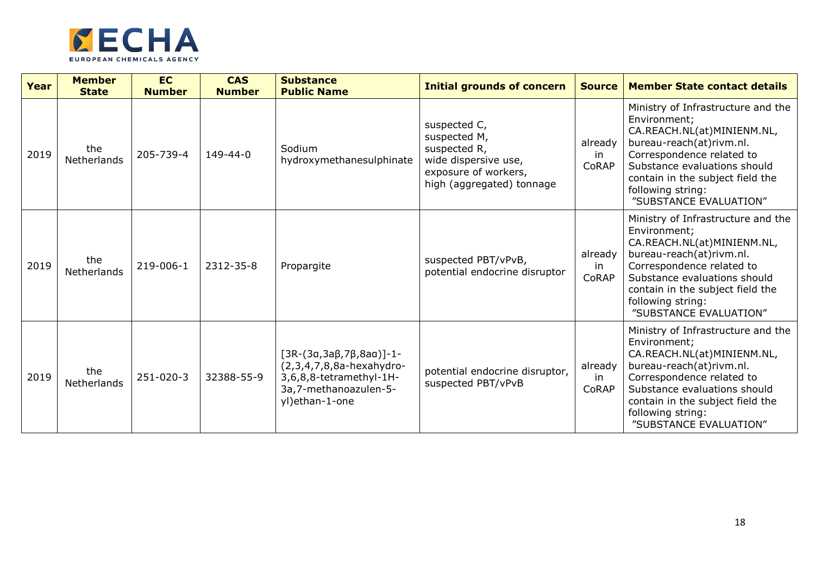

| Year | <b>Member</b><br><b>State</b> | <b>EC</b><br><b>Number</b> | <b>CAS</b><br><b>Number</b> | <b>Substance</b><br><b>Public Name</b>                                                                                                 | <b>Initial grounds of concern</b>                                                                                         | <b>Source</b>          | <b>Member State contact details</b>                                                                                                                                                                                                                          |
|------|-------------------------------|----------------------------|-----------------------------|----------------------------------------------------------------------------------------------------------------------------------------|---------------------------------------------------------------------------------------------------------------------------|------------------------|--------------------------------------------------------------------------------------------------------------------------------------------------------------------------------------------------------------------------------------------------------------|
| 2019 | the<br>Netherlands            | 205-739-4                  | $149 - 44 - 0$              | Sodium<br>hydroxymethanesulphinate                                                                                                     | suspected C,<br>suspected M,<br>suspected R,<br>wide dispersive use,<br>exposure of workers,<br>high (aggregated) tonnage | already<br>in<br>CoRAP | Ministry of Infrastructure and the<br>Environment;<br>CA.REACH.NL(at)MINIENM.NL,<br>bureau-reach(at)rivm.nl.<br>Correspondence related to<br>Substance evaluations should<br>contain in the subject field the<br>following string:<br>"SUBSTANCE EVALUATION" |
| 2019 | the<br>Netherlands            | 219-006-1                  | 2312-35-8                   | Propargite                                                                                                                             | suspected PBT/vPvB,<br>potential endocrine disruptor                                                                      | already<br>in<br>CoRAP | Ministry of Infrastructure and the<br>Environment;<br>CA.REACH.NL(at)MINIENM.NL,<br>bureau-reach(at)rivm.nl.<br>Correspondence related to<br>Substance evaluations should<br>contain in the subject field the<br>following string:<br>"SUBSTANCE EVALUATION" |
| 2019 | the<br>Netherlands            | 251-020-3                  | 32388-55-9                  | $[3R-(3a,3a\beta,7\beta,8aa)]-1-$<br>$(2,3,4,7,8,8a$ -hexahydro-<br>3,6,8,8-tetramethyl-1H-<br>3a,7-methanoazulen-5-<br>yl)ethan-1-one | potential endocrine disruptor,<br>suspected PBT/vPvB                                                                      | already<br>in<br>CoRAP | Ministry of Infrastructure and the<br>Environment;<br>CA.REACH.NL(at)MINIENM.NL,<br>bureau-reach(at)rivm.nl.<br>Correspondence related to<br>Substance evaluations should<br>contain in the subject field the<br>following string:<br>"SUBSTANCE EVALUATION" |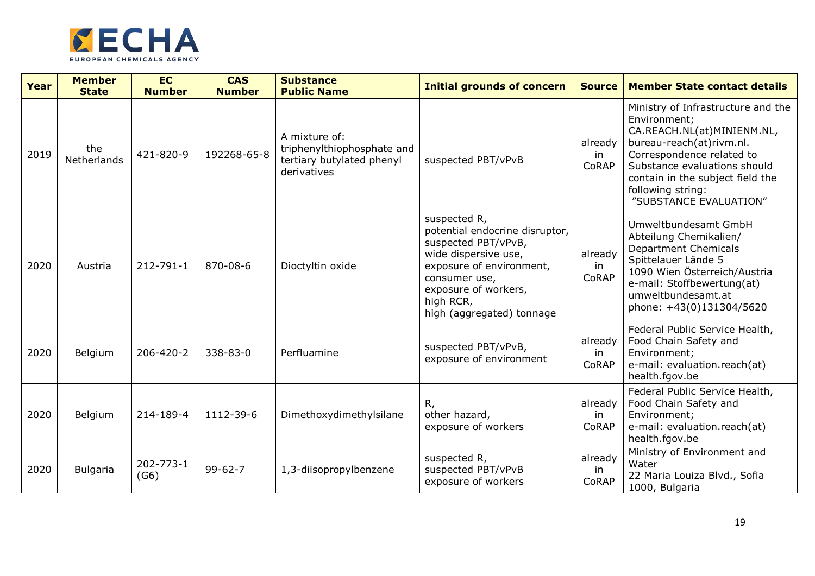

| Year | <b>Member</b><br><b>State</b> | <b>EC</b><br><b>Number</b> | <b>CAS</b><br><b>Number</b> | <b>Substance</b><br><b>Public Name</b>                                                  | <b>Initial grounds of concern</b>                                                                                                                                                                            | <b>Source</b>          | <b>Member State contact details</b>                                                                                                                                                                                                                          |
|------|-------------------------------|----------------------------|-----------------------------|-----------------------------------------------------------------------------------------|--------------------------------------------------------------------------------------------------------------------------------------------------------------------------------------------------------------|------------------------|--------------------------------------------------------------------------------------------------------------------------------------------------------------------------------------------------------------------------------------------------------------|
| 2019 | the<br>Netherlands            | 421-820-9                  | 192268-65-8                 | A mixture of:<br>triphenylthiophosphate and<br>tertiary butylated phenyl<br>derivatives | suspected PBT/vPvB                                                                                                                                                                                           | already<br>in<br>CoRAP | Ministry of Infrastructure and the<br>Environment;<br>CA.REACH.NL(at)MINIENM.NL,<br>bureau-reach(at)rivm.nl.<br>Correspondence related to<br>Substance evaluations should<br>contain in the subject field the<br>following string:<br>"SUBSTANCE EVALUATION" |
| 2020 | Austria                       | 212-791-1                  | 870-08-6                    | Dioctyltin oxide                                                                        | suspected R,<br>potential endocrine disruptor,<br>suspected PBT/vPvB,<br>wide dispersive use,<br>exposure of environment,<br>consumer use,<br>exposure of workers,<br>high RCR,<br>high (aggregated) tonnage | already<br>in<br>CoRAP | Umweltbundesamt GmbH<br>Abteilung Chemikalien/<br><b>Department Chemicals</b><br>Spittelauer Lände 5<br>1090 Wien Österreich/Austria<br>e-mail: Stoffbewertung(at)<br>umweltbundesamt.at<br>phone: +43(0)131304/5620                                         |
| 2020 | Belgium                       | 206-420-2                  | 338-83-0                    | Perfluamine                                                                             | suspected PBT/vPvB,<br>exposure of environment                                                                                                                                                               | already<br>in<br>CoRAP | Federal Public Service Health,<br>Food Chain Safety and<br>Environment;<br>e-mail: evaluation.reach(at)<br>health.fgov.be                                                                                                                                    |
| 2020 | Belgium                       | 214-189-4                  | 1112-39-6                   | Dimethoxydimethylsilane                                                                 | R,<br>other hazard,<br>exposure of workers                                                                                                                                                                   | already<br>in<br>CoRAP | Federal Public Service Health,<br>Food Chain Safety and<br>Environment;<br>e-mail: evaluation.reach(at)<br>health.fgov.be                                                                                                                                    |
| 2020 | <b>Bulgaria</b>               | 202-773-1<br>(G6)          | $99 - 62 - 7$               | 1,3-diisopropylbenzene                                                                  | suspected R,<br>suspected PBT/vPvB<br>exposure of workers                                                                                                                                                    | already<br>in<br>CoRAP | Ministry of Environment and<br>Water<br>22 Maria Louiza Blvd., Sofia<br>1000, Bulgaria                                                                                                                                                                       |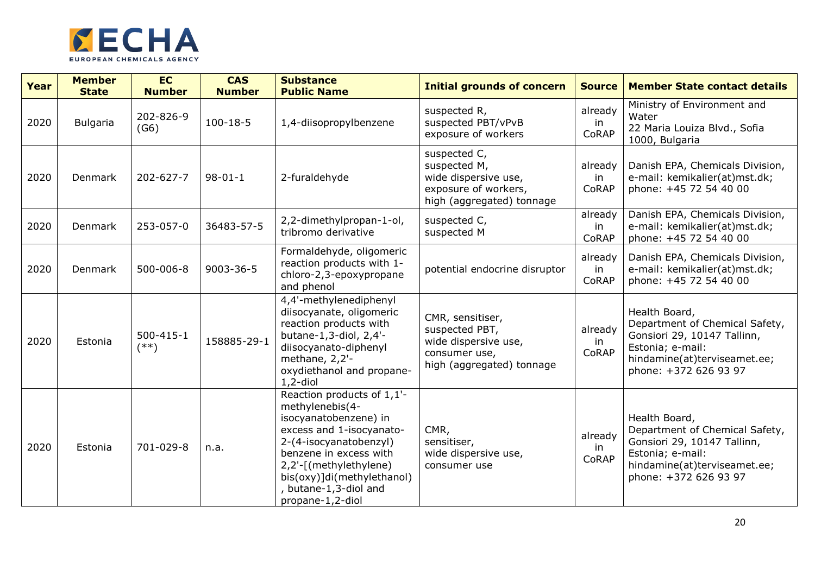

| Year | <b>Member</b><br><b>State</b> | <b>EC</b><br><b>Number</b> | <b>CAS</b><br><b>Number</b> | <b>Substance</b><br><b>Public Name</b>                                                                                                                                                                                                                      | <b>Initial grounds of concern</b>                                                                         | <b>Source</b>          | <b>Member State contact details</b>                                                                                                                         |
|------|-------------------------------|----------------------------|-----------------------------|-------------------------------------------------------------------------------------------------------------------------------------------------------------------------------------------------------------------------------------------------------------|-----------------------------------------------------------------------------------------------------------|------------------------|-------------------------------------------------------------------------------------------------------------------------------------------------------------|
| 2020 | <b>Bulgaria</b>               | 202-826-9<br>(G6)          | $100 - 18 - 5$              | 1,4-diisopropylbenzene                                                                                                                                                                                                                                      | suspected R,<br>suspected PBT/vPvB<br>exposure of workers                                                 | already<br>in<br>CoRAP | Ministry of Environment and<br>Water<br>22 Maria Louiza Blvd., Sofia<br>1000, Bulgaria                                                                      |
| 2020 | Denmark                       | 202-627-7                  | $98 - 01 - 1$               | 2-furaldehyde                                                                                                                                                                                                                                               | suspected C,<br>suspected M,<br>wide dispersive use,<br>exposure of workers,<br>high (aggregated) tonnage | already<br>in<br>CoRAP | Danish EPA, Chemicals Division,<br>e-mail: kemikalier(at)mst.dk;<br>phone: +45 72 54 40 00                                                                  |
| 2020 | Denmark                       | 253-057-0                  | 36483-57-5                  | 2,2-dimethylpropan-1-ol,<br>tribromo derivative                                                                                                                                                                                                             | suspected C,<br>suspected M                                                                               | already<br>in<br>CoRAP | Danish EPA, Chemicals Division,<br>e-mail: kemikalier(at)mst.dk;<br>phone: +45 72 54 40 00                                                                  |
| 2020 | Denmark                       | 500-006-8                  | 9003-36-5                   | Formaldehyde, oligomeric<br>reaction products with 1-<br>chloro-2,3-epoxypropane<br>and phenol                                                                                                                                                              | potential endocrine disruptor                                                                             | already<br>in<br>CoRAP | Danish EPA, Chemicals Division,<br>e-mail: kemikalier(at)mst.dk;<br>phone: +45 72 54 40 00                                                                  |
| 2020 | Estonia                       | 500-415-1<br>$(**)$        | 158885-29-1                 | 4,4'-methylenediphenyl<br>diisocyanate, oligomeric<br>reaction products with<br>butane-1,3-diol, 2,4'-<br>diisocyanato-diphenyl<br>methane, 2,2'-<br>oxydiethanol and propane-<br>$1, 2$ -diol                                                              | CMR, sensitiser,<br>suspected PBT,<br>wide dispersive use,<br>consumer use,<br>high (aggregated) tonnage  | already<br>in<br>CoRAP | Health Board,<br>Department of Chemical Safety,<br>Gonsiori 29, 10147 Tallinn,<br>Estonia; e-mail:<br>hindamine(at)terviseamet.ee;<br>phone: +372 626 93 97 |
| 2020 | Estonia                       | 701-029-8                  | n.a.                        | Reaction products of 1,1'-<br>methylenebis(4-<br>isocyanatobenzene) in<br>excess and 1-isocyanato-<br>2-(4-isocyanatobenzyl)<br>benzene in excess with<br>2,2'-[(methylethylene)<br>bis(oxy)]di(methylethanol)<br>, butane-1,3-diol and<br>propane-1,2-diol | CMR,<br>sensitiser,<br>wide dispersive use,<br>consumer use                                               | already<br>in<br>CoRAP | Health Board,<br>Department of Chemical Safety,<br>Gonsiori 29, 10147 Tallinn,<br>Estonia; e-mail:<br>hindamine(at)terviseamet.ee;<br>phone: +372 626 93 97 |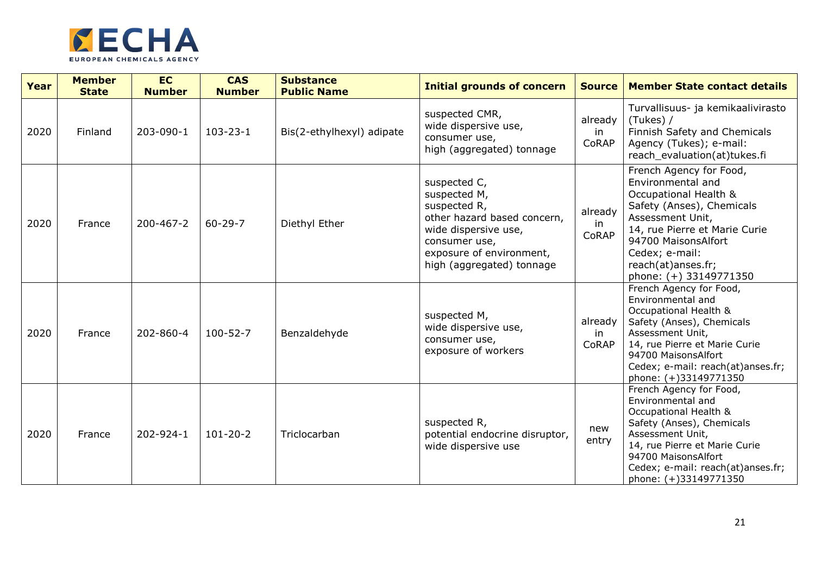

| Year | <b>Member</b><br><b>State</b> | <b>EC</b><br><b>Number</b> | <b>CAS</b><br><b>Number</b> | <b>Substance</b><br><b>Public Name</b> | <b>Initial grounds of concern</b>                                                                                                                                             | <b>Source</b>           | <b>Member State contact details</b>                                                                                                                                                                                                              |
|------|-------------------------------|----------------------------|-----------------------------|----------------------------------------|-------------------------------------------------------------------------------------------------------------------------------------------------------------------------------|-------------------------|--------------------------------------------------------------------------------------------------------------------------------------------------------------------------------------------------------------------------------------------------|
| 2020 | Finland                       | 203-090-1                  | $103 - 23 - 1$              | Bis(2-ethylhexyl) adipate              | suspected CMR,<br>wide dispersive use,<br>consumer use,<br>high (aggregated) tonnage                                                                                          | already<br>in<br>CoRAP  | Turvallisuus- ja kemikaalivirasto<br>(Tukes) /<br>Finnish Safety and Chemicals<br>Agency (Tukes); e-mail:<br>reach evaluation(at)tukes.fi                                                                                                        |
| 2020 | France                        | 200-467-2                  | $60 - 29 - 7$               | Diethyl Ether                          | suspected C,<br>suspected M,<br>suspected R,<br>other hazard based concern,<br>wide dispersive use,<br>consumer use,<br>exposure of environment,<br>high (aggregated) tonnage | already<br>in.<br>CoRAP | French Agency for Food,<br>Environmental and<br>Occupational Health &<br>Safety (Anses), Chemicals<br>Assessment Unit,<br>14, rue Pierre et Marie Curie<br>94700 MaisonsAlfort<br>Cedex; e-mail:<br>reach(at)anses.fr;<br>phone: (+) 33149771350 |
| 2020 | France                        | 202-860-4                  | $100 - 52 - 7$              | Benzaldehyde                           | suspected M,<br>wide dispersive use,<br>consumer use,<br>exposure of workers                                                                                                  | already<br>in<br>CoRAP  | French Agency for Food,<br>Environmental and<br>Occupational Health &<br>Safety (Anses), Chemicals<br>Assessment Unit,<br>14, rue Pierre et Marie Curie<br>94700 MaisonsAlfort<br>Cedex; e-mail: reach(at)anses.fr;<br>phone: (+)33149771350     |
| 2020 | France                        | 202-924-1                  | $101 - 20 - 2$              | Triclocarban                           | suspected R,<br>potential endocrine disruptor,<br>wide dispersive use                                                                                                         | new<br>entry            | French Agency for Food,<br>Environmental and<br>Occupational Health &<br>Safety (Anses), Chemicals<br>Assessment Unit,<br>14, rue Pierre et Marie Curie<br>94700 MaisonsAlfort<br>Cedex; e-mail: reach(at)anses.fr;<br>phone: (+)33149771350     |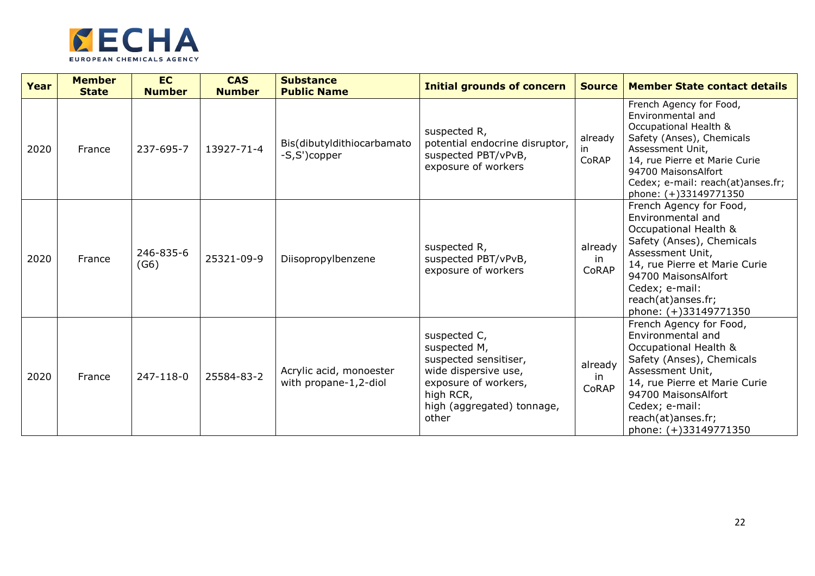

| Year | <b>Member</b><br><b>State</b> | <b>EC</b><br><b>Number</b> | <b>CAS</b><br><b>Number</b> | <b>Substance</b><br><b>Public Name</b>           | <b>Initial grounds of concern</b>                                                                                                                         | <b>Source</b>           | <b>Member State contact details</b>                                                                                                                                                                                                             |
|------|-------------------------------|----------------------------|-----------------------------|--------------------------------------------------|-----------------------------------------------------------------------------------------------------------------------------------------------------------|-------------------------|-------------------------------------------------------------------------------------------------------------------------------------------------------------------------------------------------------------------------------------------------|
| 2020 | France                        | 237-695-7                  | 13927-71-4                  | Bis(dibutyldithiocarbamato<br>-S,S')copper       | suspected R,<br>potential endocrine disruptor,<br>suspected PBT/vPvB,<br>exposure of workers                                                              | already<br>in.<br>CoRAP | French Agency for Food,<br>Environmental and<br>Occupational Health &<br>Safety (Anses), Chemicals<br>Assessment Unit,<br>14, rue Pierre et Marie Curie<br>94700 MaisonsAlfort<br>Cedex; e-mail: reach(at)anses.fr;<br>phone: (+)33149771350    |
| 2020 | France                        | 246-835-6<br>(G6)          | 25321-09-9                  | Diisopropylbenzene                               | suspected R,<br>suspected PBT/vPvB,<br>exposure of workers                                                                                                | already<br>in<br>CoRAP  | French Agency for Food,<br>Environmental and<br>Occupational Health &<br>Safety (Anses), Chemicals<br>Assessment Unit,<br>14, rue Pierre et Marie Curie<br>94700 MaisonsAlfort<br>Cedex; e-mail:<br>reach(at)anses.fr;<br>phone: (+)33149771350 |
| 2020 | France                        | 247-118-0                  | 25584-83-2                  | Acrylic acid, monoester<br>with propane-1,2-diol | suspected C,<br>suspected M,<br>suspected sensitiser,<br>wide dispersive use,<br>exposure of workers,<br>high RCR,<br>high (aggregated) tonnage,<br>other | already<br>in<br>CoRAP  | French Agency for Food,<br>Environmental and<br>Occupational Health &<br>Safety (Anses), Chemicals<br>Assessment Unit,<br>14, rue Pierre et Marie Curie<br>94700 MaisonsAlfort<br>Cedex; e-mail:<br>reach(at)anses.fr;<br>phone: (+)33149771350 |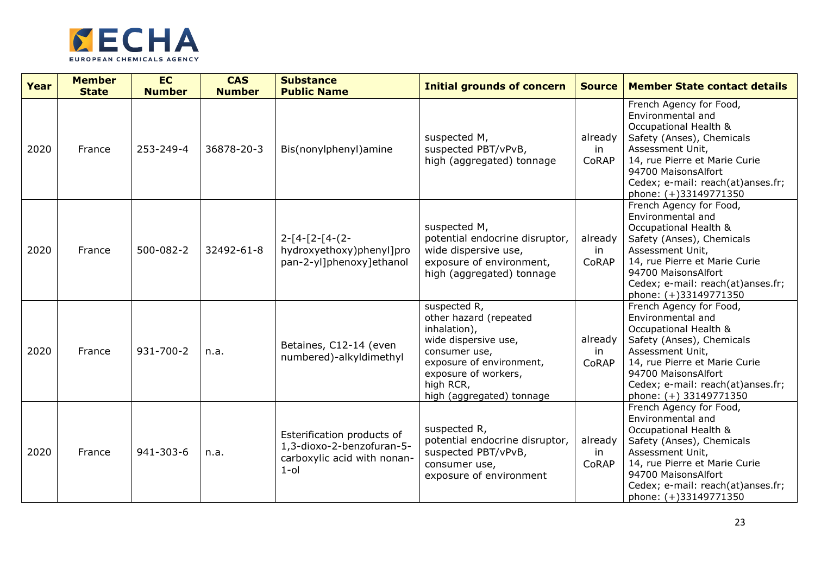

| Year | <b>Member</b><br><b>State</b> | <b>EC</b><br><b>Number</b> | <b>CAS</b><br><b>Number</b> | <b>Substance</b><br><b>Public Name</b>                                                            | <b>Initial grounds of concern</b>                                                                                                                                                             | <b>Source</b>          | <b>Member State contact details</b>                                                                                                                                                                                                           |
|------|-------------------------------|----------------------------|-----------------------------|---------------------------------------------------------------------------------------------------|-----------------------------------------------------------------------------------------------------------------------------------------------------------------------------------------------|------------------------|-----------------------------------------------------------------------------------------------------------------------------------------------------------------------------------------------------------------------------------------------|
| 2020 | France                        | 253-249-4                  | 36878-20-3                  | Bis(nonylphenyl)amine                                                                             | suspected M,<br>suspected PBT/vPvB,<br>high (aggregated) tonnage                                                                                                                              | already<br>in<br>CoRAP | French Agency for Food,<br>Environmental and<br>Occupational Health &<br>Safety (Anses), Chemicals<br>Assessment Unit,<br>14, rue Pierre et Marie Curie<br>94700 MaisonsAlfort<br>Cedex; e-mail: reach(at)anses.fr;<br>phone: (+)33149771350  |
| 2020 | France                        | 500-082-2                  | 32492-61-8                  | $2-[4-[2-[4-(2-$<br>hydroxyethoxy)phenyl]pro<br>pan-2-yl]phenoxy]ethanol                          | suspected M,<br>potential endocrine disruptor,<br>wide dispersive use,<br>exposure of environment,<br>high (aggregated) tonnage                                                               | already<br>in<br>CoRAP | French Agency for Food,<br>Environmental and<br>Occupational Health &<br>Safety (Anses), Chemicals<br>Assessment Unit,<br>14, rue Pierre et Marie Curie<br>94700 MaisonsAlfort<br>Cedex; e-mail: reach(at)anses.fr;<br>phone: (+)33149771350  |
| 2020 | France                        | 931-700-2                  | n.a.                        | Betaines, C12-14 (even<br>numbered)-alkyldimethyl                                                 | suspected R,<br>other hazard (repeated<br>inhalation),<br>wide dispersive use,<br>consumer use,<br>exposure of environment,<br>exposure of workers,<br>high RCR,<br>high (aggregated) tonnage | already<br>in<br>CoRAP | French Agency for Food,<br>Environmental and<br>Occupational Health &<br>Safety (Anses), Chemicals<br>Assessment Unit,<br>14, rue Pierre et Marie Curie<br>94700 MaisonsAlfort<br>Cedex; e-mail: reach(at)anses.fr;<br>phone: (+) 33149771350 |
| 2020 | France                        | 941-303-6                  | n.a.                        | Esterification products of<br>1,3-dioxo-2-benzofuran-5-<br>carboxylic acid with nonan-<br>$1$ -ol | suspected R,<br>potential endocrine disruptor,<br>suspected PBT/vPvB,<br>consumer use,<br>exposure of environment                                                                             | already<br>in<br>CoRAP | French Agency for Food,<br>Environmental and<br>Occupational Health &<br>Safety (Anses), Chemicals<br>Assessment Unit,<br>14, rue Pierre et Marie Curie<br>94700 MaisonsAlfort<br>Cedex; e-mail: reach(at)anses.fr;<br>phone: (+)33149771350  |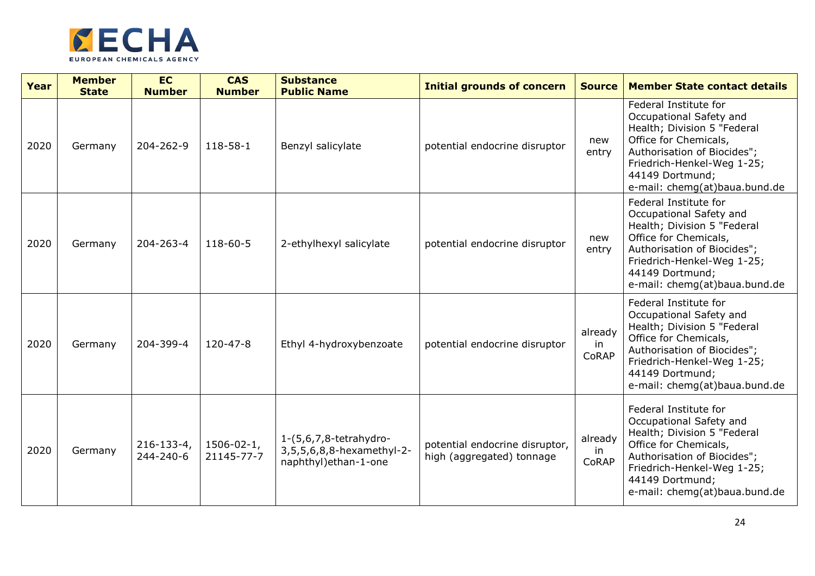

| Year | <b>Member</b><br><b>State</b> | <b>EC</b><br><b>Number</b>   | <b>CAS</b><br><b>Number</b>     | <b>Substance</b><br><b>Public Name</b>                                       | <b>Initial grounds of concern</b>                           | <b>Source</b>          | <b>Member State contact details</b>                                                                                                                                                                                       |
|------|-------------------------------|------------------------------|---------------------------------|------------------------------------------------------------------------------|-------------------------------------------------------------|------------------------|---------------------------------------------------------------------------------------------------------------------------------------------------------------------------------------------------------------------------|
| 2020 | Germany                       | 204-262-9                    | 118-58-1                        | Benzyl salicylate                                                            | potential endocrine disruptor                               | new<br>entry           | Federal Institute for<br>Occupational Safety and<br>Health; Division 5 "Federal<br>Office for Chemicals,<br>Authorisation of Biocides";<br>Friedrich-Henkel-Weg 1-25;<br>44149 Dortmund;<br>e-mail: chemg(at)baua.bund.de |
| 2020 | Germany                       | 204-263-4                    | 118-60-5                        | 2-ethylhexyl salicylate                                                      | potential endocrine disruptor                               | new<br>entry           | Federal Institute for<br>Occupational Safety and<br>Health; Division 5 "Federal<br>Office for Chemicals,<br>Authorisation of Biocides";<br>Friedrich-Henkel-Weg 1-25;<br>44149 Dortmund;<br>e-mail: chemg(at)baua.bund.de |
| 2020 | Germany                       | 204-399-4                    | 120-47-8                        | Ethyl 4-hydroxybenzoate                                                      | potential endocrine disruptor                               | already<br>in<br>CoRAP | Federal Institute for<br>Occupational Safety and<br>Health; Division 5 "Federal<br>Office for Chemicals,<br>Authorisation of Biocides";<br>Friedrich-Henkel-Weg 1-25;<br>44149 Dortmund;<br>e-mail: chemg(at)baua.bund.de |
| 2020 | Germany                       | $216 - 133 - 4$<br>244-240-6 | $1506 - 02 - 1$ ,<br>21145-77-7 | 1-(5,6,7,8-tetrahydro-<br>3,5,5,6,8,8-hexamethyl-2-<br>naphthyl) ethan-1-one | potential endocrine disruptor,<br>high (aggregated) tonnage | already<br>in<br>CoRAP | Federal Institute for<br>Occupational Safety and<br>Health; Division 5 "Federal<br>Office for Chemicals,<br>Authorisation of Biocides";<br>Friedrich-Henkel-Weg 1-25;<br>44149 Dortmund;<br>e-mail: chemg(at)baua.bund.de |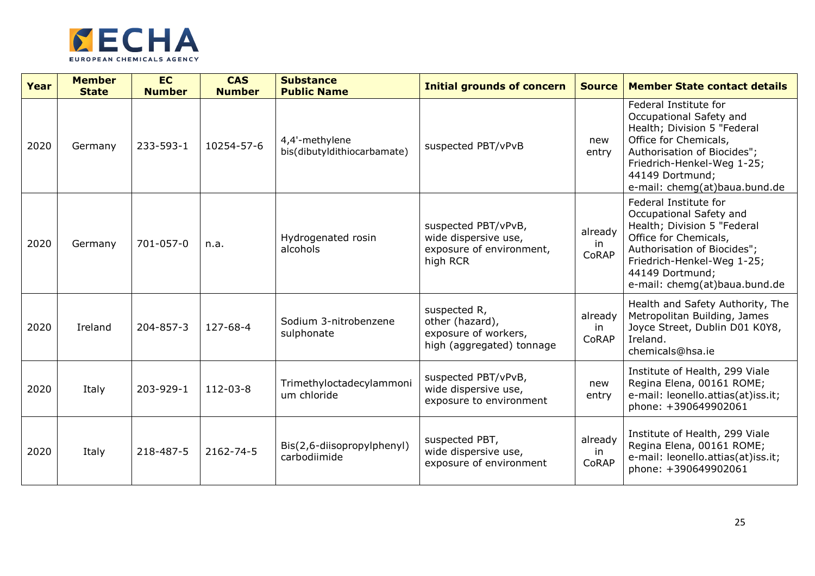

| Year | <b>Member</b><br><b>State</b> | <b>EC</b><br><b>Number</b> | <b>CAS</b><br><b>Number</b> | <b>Substance</b><br><b>Public Name</b>        | <b>Initial grounds of concern</b>                                                    | <b>Source</b>          | <b>Member State contact details</b>                                                                                                                                                                                       |
|------|-------------------------------|----------------------------|-----------------------------|-----------------------------------------------|--------------------------------------------------------------------------------------|------------------------|---------------------------------------------------------------------------------------------------------------------------------------------------------------------------------------------------------------------------|
| 2020 | Germany                       | 233-593-1                  | 10254-57-6                  | 4,4'-methylene<br>bis(dibutyldithiocarbamate) | suspected PBT/vPvB                                                                   | new<br>entry           | Federal Institute for<br>Occupational Safety and<br>Health; Division 5 "Federal<br>Office for Chemicals,<br>Authorisation of Biocides";<br>Friedrich-Henkel-Weg 1-25;<br>44149 Dortmund;<br>e-mail: chemg(at)baua.bund.de |
| 2020 | Germany                       | 701-057-0                  | n.a.                        | Hydrogenated rosin<br>alcohols                | suspected PBT/vPvB,<br>wide dispersive use,<br>exposure of environment,<br>high RCR  | already<br>in<br>CoRAP | Federal Institute for<br>Occupational Safety and<br>Health; Division 5 "Federal<br>Office for Chemicals,<br>Authorisation of Biocides";<br>Friedrich-Henkel-Weg 1-25;<br>44149 Dortmund;<br>e-mail: chemg(at)baua.bund.de |
| 2020 | Ireland                       | 204-857-3                  | 127-68-4                    | Sodium 3-nitrobenzene<br>sulphonate           | suspected R,<br>other (hazard),<br>exposure of workers,<br>high (aggregated) tonnage | already<br>in<br>CoRAP | Health and Safety Authority, The<br>Metropolitan Building, James<br>Joyce Street, Dublin D01 K0Y8,<br>Ireland.<br>chemicals@hsa.ie                                                                                        |
| 2020 | Italy                         | 203-929-1                  | 112-03-8                    | Trimethyloctadecylammoni<br>um chloride       | suspected PBT/vPvB,<br>wide dispersive use,<br>exposure to environment               | new<br>entry           | Institute of Health, 299 Viale<br>Regina Elena, 00161 ROME;<br>e-mail: leonello.attias(at)iss.it;<br>phone: +390649902061                                                                                                 |
| 2020 | Italy                         | 218-487-5                  | 2162-74-5                   | Bis(2,6-diisopropylphenyl)<br>carbodiimide    | suspected PBT,<br>wide dispersive use,<br>exposure of environment                    | already<br>in<br>CoRAP | Institute of Health, 299 Viale<br>Regina Elena, 00161 ROME;<br>e-mail: leonello.attias(at)iss.it;<br>phone: +390649902061                                                                                                 |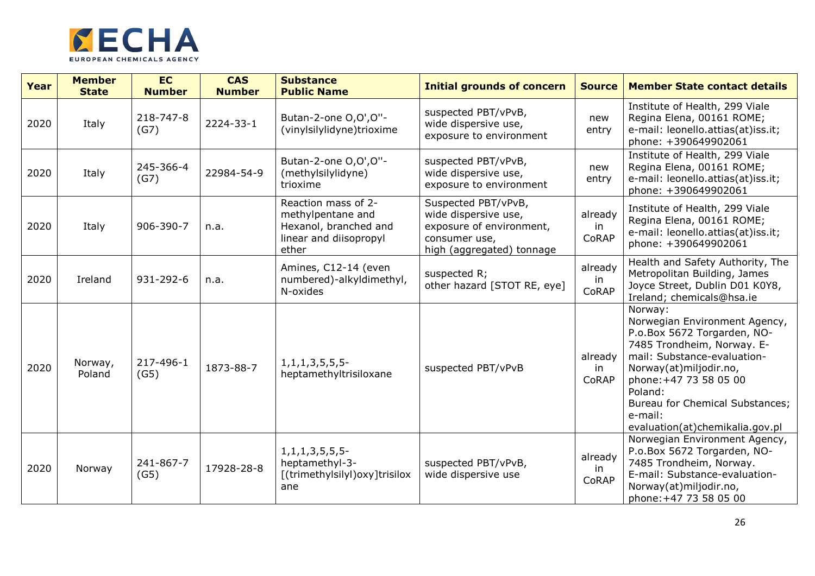

| Year | <b>Member</b><br><b>State</b> | <b>EC</b><br><b>Number</b> | <b>CAS</b><br><b>Number</b> | <b>Substance</b><br><b>Public Name</b>                                                               | <b>Initial grounds of concern</b>                                                                                     | <b>Source</b>          | <b>Member State contact details</b>                                                                                                                                                                                                                                                  |
|------|-------------------------------|----------------------------|-----------------------------|------------------------------------------------------------------------------------------------------|-----------------------------------------------------------------------------------------------------------------------|------------------------|--------------------------------------------------------------------------------------------------------------------------------------------------------------------------------------------------------------------------------------------------------------------------------------|
| 2020 | Italy                         | 218-747-8<br>(G7)          | 2224-33-1                   | Butan-2-one O, O', O"-<br>(vinylsilylidyne)trioxime                                                  | suspected PBT/vPvB,<br>wide dispersive use,<br>exposure to environment                                                | new<br>entry           | Institute of Health, 299 Viale<br>Regina Elena, 00161 ROME;<br>e-mail: leonello.attias(at)iss.it;<br>phone: +390649902061                                                                                                                                                            |
| 2020 | Italy                         | 245-366-4<br>(G7)          | 22984-54-9                  | Butan-2-one O, O', O"-<br>(methylsilylidyne)<br>trioxime                                             | suspected PBT/vPvB,<br>wide dispersive use,<br>exposure to environment                                                | new<br>entry           | Institute of Health, 299 Viale<br>Regina Elena, 00161 ROME;<br>e-mail: leonello.attias(at)iss.it;<br>phone: +390649902061                                                                                                                                                            |
| 2020 | Italy                         | 906-390-7                  | n.a.                        | Reaction mass of 2-<br>methylpentane and<br>Hexanol, branched and<br>linear and diisopropyl<br>ether | Suspected PBT/vPvB,<br>wide dispersive use,<br>exposure of environment,<br>consumer use,<br>high (aggregated) tonnage | already<br>in<br>CoRAP | Institute of Health, 299 Viale<br>Regina Elena, 00161 ROME;<br>e-mail: leonello.attias(at)iss.it;<br>phone: +390649902061                                                                                                                                                            |
| 2020 | Ireland                       | 931-292-6                  | n.a.                        | Amines, C12-14 (even<br>numbered)-alkyldimethyl,<br>N-oxides                                         | suspected R;<br>other hazard [STOT RE, eye]                                                                           | already<br>in<br>CoRAP | Health and Safety Authority, The<br>Metropolitan Building, James<br>Joyce Street, Dublin D01 K0Y8,<br>Ireland; chemicals@hsa.ie                                                                                                                                                      |
| 2020 | Norway,<br>Poland             | 217-496-1<br>(G5)          | 1873-88-7                   | $1, 1, 1, 3, 5, 5, 5$ -<br>heptamethyltrisiloxane                                                    | suspected PBT/vPvB                                                                                                    | already<br>in<br>CoRAP | Norway:<br>Norwegian Environment Agency,<br>P.o.Box 5672 Torgarden, NO-<br>7485 Trondheim, Norway. E-<br>mail: Substance-evaluation-<br>Norway(at)miljodir.no,<br>phone: +47 73 58 05 00<br>Poland:<br>Bureau for Chemical Substances;<br>e-mail:<br>evaluation(at)chemikalia.gov.pl |
| 2020 | Norway                        | 241-867-7<br>(G5)          | 17928-28-8                  | $1, 1, 1, 3, 5, 5, 5$ -<br>heptamethyl-3-<br>[(trimethylsilyl)oxy]trisilox<br>ane                    | suspected PBT/vPvB,<br>wide dispersive use                                                                            | already<br>in<br>CoRAP | Norwegian Environment Agency,<br>P.o.Box 5672 Torgarden, NO-<br>7485 Trondheim, Norway.<br>E-mail: Substance-evaluation-<br>Norway(at)miljodir.no,<br>phone: +47 73 58 05 00                                                                                                         |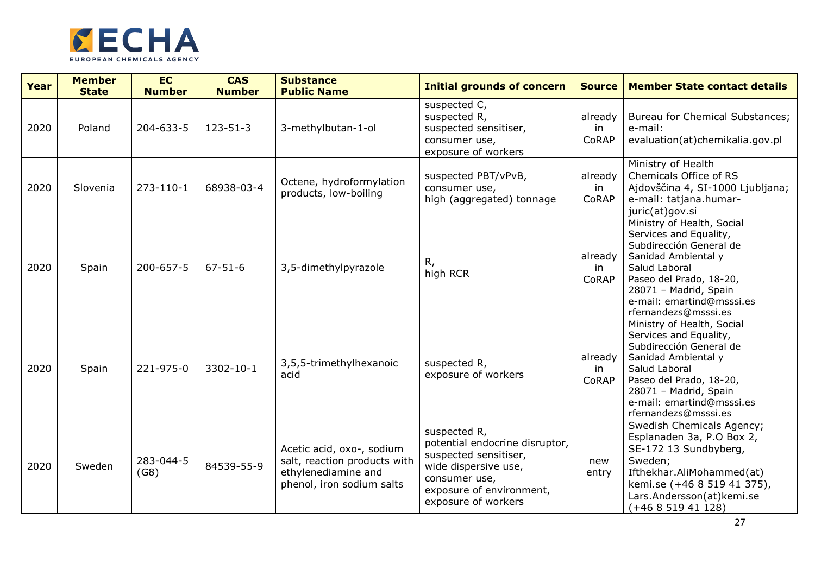

| Year | <b>Member</b><br><b>State</b> | <b>EC</b><br><b>Number</b> | <b>CAS</b><br><b>Number</b> | <b>Substance</b><br><b>Public Name</b>                                                                        | <b>Initial grounds of concern</b>                                                                                                                                   | <b>Source</b>           | <b>Member State contact details</b>                                                                                                                                                                                              |
|------|-------------------------------|----------------------------|-----------------------------|---------------------------------------------------------------------------------------------------------------|---------------------------------------------------------------------------------------------------------------------------------------------------------------------|-------------------------|----------------------------------------------------------------------------------------------------------------------------------------------------------------------------------------------------------------------------------|
| 2020 | Poland                        | 204-633-5                  | $123 - 51 - 3$              | 3-methylbutan-1-ol                                                                                            | suspected C,<br>suspected R,<br>suspected sensitiser,<br>consumer use,<br>exposure of workers                                                                       | already<br>in<br>CoRAP  | Bureau for Chemical Substances;<br>e-mail:<br>evaluation(at)chemikalia.gov.pl                                                                                                                                                    |
| 2020 | Slovenia                      | $273 - 110 - 1$            | 68938-03-4                  | Octene, hydroformylation<br>products, low-boiling                                                             | suspected PBT/vPvB,<br>consumer use,<br>high (aggregated) tonnage                                                                                                   | already<br>in.<br>CoRAP | Ministry of Health<br>Chemicals Office of RS<br>Ajdovščina 4, SI-1000 Ljubljana;<br>e-mail: tatjana.humar-<br>juric(at)gov.si                                                                                                    |
| 2020 | Spain                         | 200-657-5                  | $67 - 51 - 6$               | 3,5-dimethylpyrazole                                                                                          | R,<br>high RCR                                                                                                                                                      | already<br>in.<br>CoRAP | Ministry of Health, Social<br>Services and Equality,<br>Subdirección General de<br>Sanidad Ambiental y<br>Salud Laboral<br>Paseo del Prado, 18-20,<br>28071 - Madrid, Spain<br>e-mail: emartind@msssi.es<br>rfernandezs@msssi.es |
| 2020 | Spain                         | 221-975-0                  | 3302-10-1                   | 3,5,5-trimethylhexanoic<br>acid                                                                               | suspected R,<br>exposure of workers                                                                                                                                 | already<br>in<br>CoRAP  | Ministry of Health, Social<br>Services and Equality,<br>Subdirección General de<br>Sanidad Ambiental y<br>Salud Laboral<br>Paseo del Prado, 18-20,<br>28071 - Madrid, Spain<br>e-mail: emartind@msssi.es<br>rfernandezs@msssi.es |
| 2020 | Sweden                        | 283-044-5<br>(G8)          | 84539-55-9                  | Acetic acid, oxo-, sodium<br>salt, reaction products with<br>ethylenediamine and<br>phenol, iron sodium salts | suspected R,<br>potential endocrine disruptor,<br>suspected sensitiser,<br>wide dispersive use,<br>consumer use,<br>exposure of environment,<br>exposure of workers | new<br>entry            | Swedish Chemicals Agency;<br>Esplanaden 3a, P.O Box 2,<br>SE-172 13 Sundbyberg,<br>Sweden;<br>Ifthekhar.AliMohammed(at)<br>kemi.se (+46 8 519 41 375),<br>Lars.Andersson(at)kemi.se<br>$(+46851941128)$                          |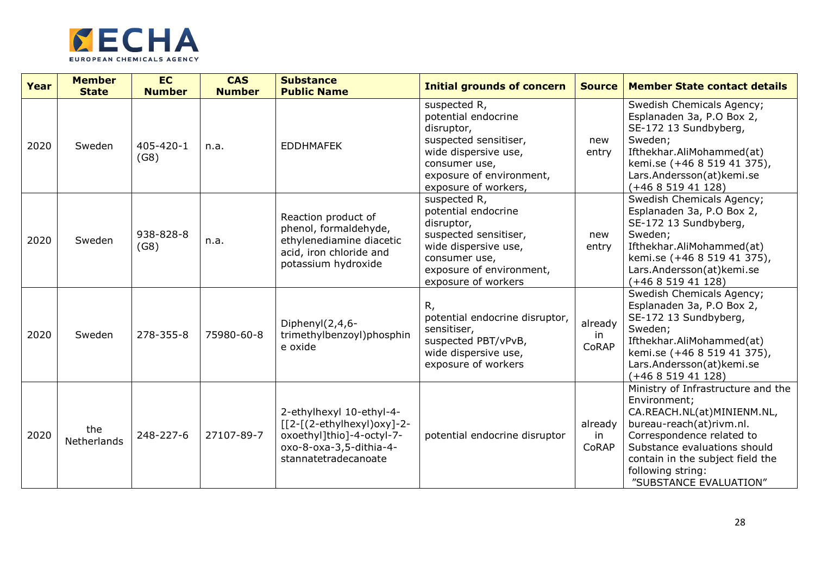

| Year | <b>Member</b><br><b>State</b> | <b>EC</b><br><b>Number</b> | <b>CAS</b><br><b>Number</b> | <b>Substance</b><br><b>Public Name</b>                                                                                                                     | <b>Initial grounds of concern</b>                                                                                                                                       | <b>Source</b>          | <b>Member State contact details</b>                                                                                                                                                                                                                          |
|------|-------------------------------|----------------------------|-----------------------------|------------------------------------------------------------------------------------------------------------------------------------------------------------|-------------------------------------------------------------------------------------------------------------------------------------------------------------------------|------------------------|--------------------------------------------------------------------------------------------------------------------------------------------------------------------------------------------------------------------------------------------------------------|
| 2020 | Sweden                        | 405-420-1<br>(G8)          | n.a.                        | <b>EDDHMAFEK</b>                                                                                                                                           | suspected R,<br>potential endocrine<br>disruptor,<br>suspected sensitiser,<br>wide dispersive use,<br>consumer use,<br>exposure of environment,<br>exposure of workers, | new<br>entry           | Swedish Chemicals Agency;<br>Esplanaden 3a, P.O Box 2,<br>SE-172 13 Sundbyberg,<br>Sweden;<br>Ifthekhar.AliMohammed(at)<br>kemi.se (+46 8 519 41 375),<br>Lars.Andersson(at)kemi.se<br>$(+46851941128)$                                                      |
| 2020 | Sweden                        | 938-828-8<br>(G8)          | n.a.                        | Reaction product of<br>phenol, formaldehyde,<br>ethylenediamine diacetic<br>acid, iron chloride and<br>potassium hydroxide                                 | suspected R,<br>potential endocrine<br>disruptor,<br>suspected sensitiser,<br>wide dispersive use,<br>consumer use,<br>exposure of environment,<br>exposure of workers  | new<br>entry           | Swedish Chemicals Agency;<br>Esplanaden 3a, P.O Box 2,<br>SE-172 13 Sundbyberg,<br>Sweden;<br>Ifthekhar.AliMohammed(at)<br>kemi.se (+46 8 519 41 375),<br>Lars.Andersson(at)kemi.se<br>$(+46851941128)$                                                      |
| 2020 | Sweden                        | 278-355-8                  | 75980-60-8                  | Diphenyl(2,4,6-<br>trimethylbenzoyl)phosphin<br>e oxide                                                                                                    | R,<br>potential endocrine disruptor,<br>sensitiser,<br>suspected PBT/vPvB,<br>wide dispersive use,<br>exposure of workers                                               | already<br>in<br>CoRAP | Swedish Chemicals Agency;<br>Esplanaden 3a, P.O Box 2,<br>SE-172 13 Sundbyberg,<br>Sweden;<br>Ifthekhar.AliMohammed(at)<br>kemi.se (+46 8 519 41 375),<br>Lars.Andersson(at)kemi.se<br>$(+46851941128)$                                                      |
| 2020 | the<br>Netherlands            | 248-227-6                  | 27107-89-7                  | 2-ethylhexyl 10-ethyl-4-<br>$\lceil 2 - \lceil (2-ethy hexy )$ oxy $]$ -2-<br>oxoethyl]thio]-4-octyl-7-<br>oxo-8-oxa-3,5-dithia-4-<br>stannatetradecanoate | potential endocrine disruptor                                                                                                                                           | already<br>in<br>CoRAP | Ministry of Infrastructure and the<br>Environment;<br>CA.REACH.NL(at)MINIENM.NL,<br>bureau-reach(at)rivm.nl.<br>Correspondence related to<br>Substance evaluations should<br>contain in the subject field the<br>following string:<br>"SUBSTANCE EVALUATION" |